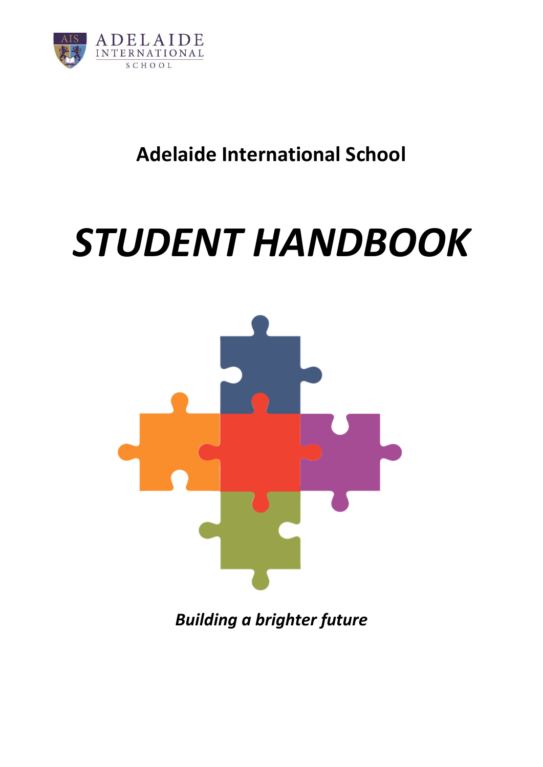

# **Adelaide International School**

# *STUDENT HANDBOOK*



*Building a brighter future*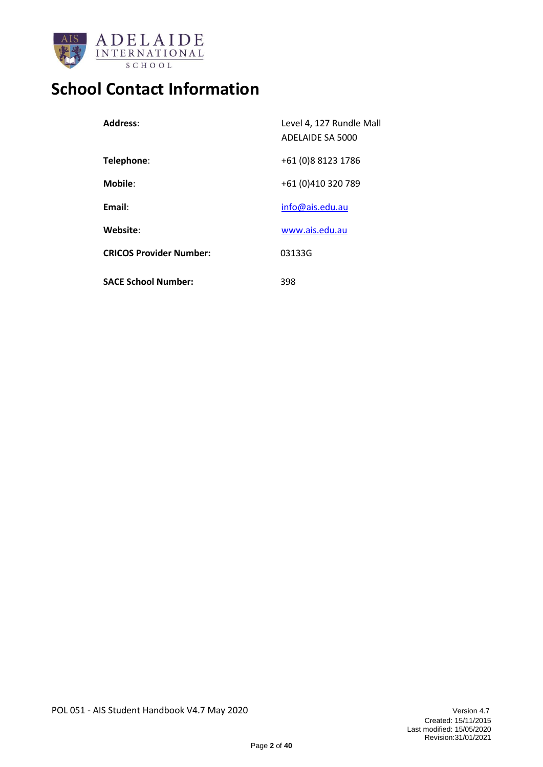

# **School Contact Information**

| Address:                       | Level 4, 127 Rundle Mall<br>ADELAIDE SA 5000 |
|--------------------------------|----------------------------------------------|
| Telephone:                     | +61 (0)8 8123 1786                           |
| <b>Mobile:</b>                 | +61 (0)410 320 789                           |
| Email:                         | info@ais.edu.au                              |
| Website:                       | www.ais.edu.au                               |
| <b>CRICOS Provider Number:</b> | 03133G                                       |
| <b>SACE School Number:</b>     | 398                                          |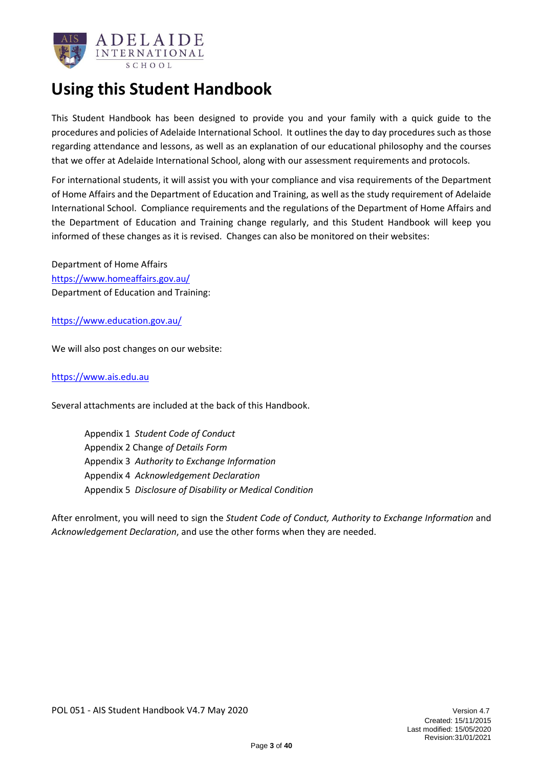

## **Using this Student Handbook**

This Student Handbook has been designed to provide you and your family with a quick guide to the procedures and policies of Adelaide International School. It outlines the day to day procedures such as those regarding attendance and lessons, as well as an explanation of our educational philosophy and the courses that we offer at Adelaide International School, along with our assessment requirements and protocols.

For international students, it will assist you with your compliance and visa requirements of the Department of Home Affairs and the Department of Education and Training, as well as the study requirement of Adelaide International School. Compliance requirements and the regulations of the Department of Home Affairs and the Department of Education and Training change regularly, and this Student Handbook will keep you informed of these changes as it is revised. Changes can also be monitored on their websites:

Department of Home Affairs https://www.homeaffairs.gov.au/ Department of Education and Training:

<https://www.education.gov.au/>

We will also post changes on our website:

[https://www.ais.edu.au](https://www.ais.edu.au/)

Several attachments are included at the back of this Handbook.

Appendix 1 *Student Code of Conduct* Appendix 2 Change *of Details Form* Appendix 3 *Authority to Exchange Information* Appendix 4 *Acknowledgement Declaration* Appendix 5 *Disclosure of Disability or Medical Condition*

After enrolment, you will need to sign the *Student Code of Conduct, Authority to Exchange Information* and *Acknowledgement Declaration*, and use the other forms when they are needed.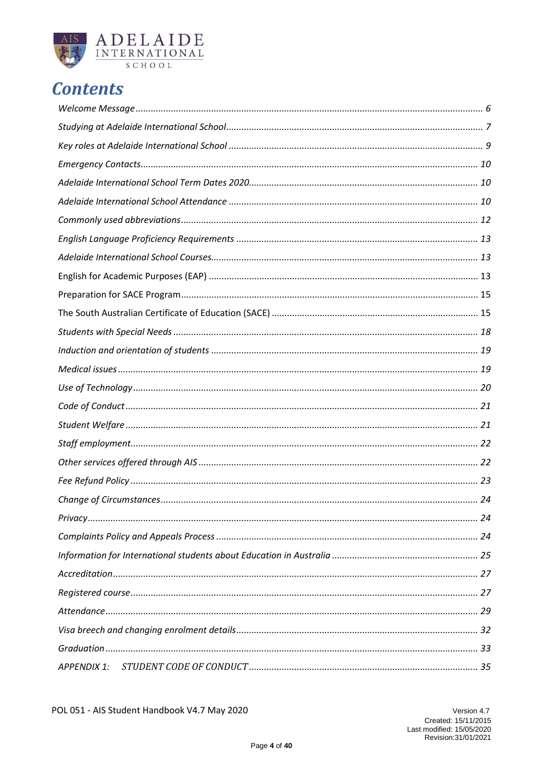

# **Contents**

| APPENDIX 1: |  |
|-------------|--|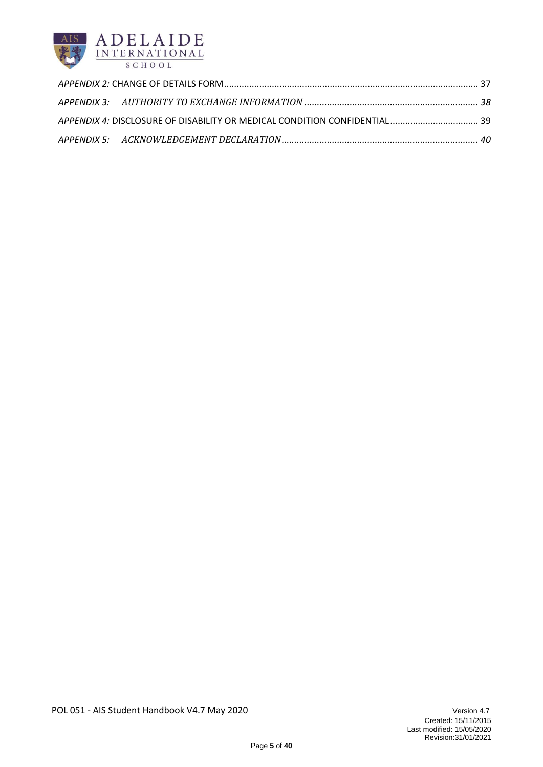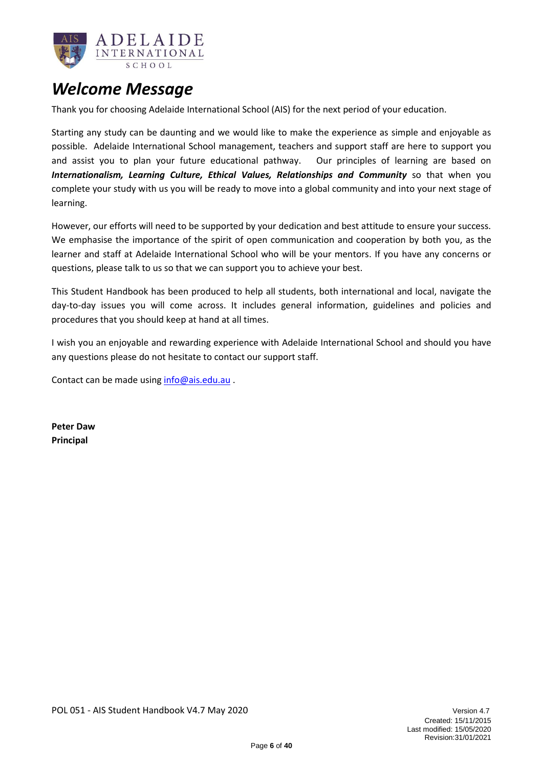

### <span id="page-5-0"></span>*Welcome Message*

Thank you for choosing Adelaide International School (AIS) for the next period of your education.

Starting any study can be daunting and we would like to make the experience as simple and enjoyable as possible. Adelaide International School management, teachers and support staff are here to support you and assist you to plan your future educational pathway. Our principles of learning are based on *Internationalism, Learning Culture, Ethical Values, Relationships and Community* so that when you complete your study with us you will be ready to move into a global community and into your next stage of learning.

However, our efforts will need to be supported by your dedication and best attitude to ensure your success. We emphasise the importance of the spirit of open communication and cooperation by both you, as the learner and staff at Adelaide International School who will be your mentors. If you have any concerns or questions, please talk to us so that we can support you to achieve your best.

This Student Handbook has been produced to help all students, both international and local, navigate the day-to-day issues you will come across. It includes general information, guidelines and policies and procedures that you should keep at hand at all times.

I wish you an enjoyable and rewarding experience with Adelaide International School and should you have any questions please do not hesitate to contact our support staff.

Contact can be made usin[g info@ais.edu.au](mailto:info@ais.edu.au) .

**Peter Daw Principal**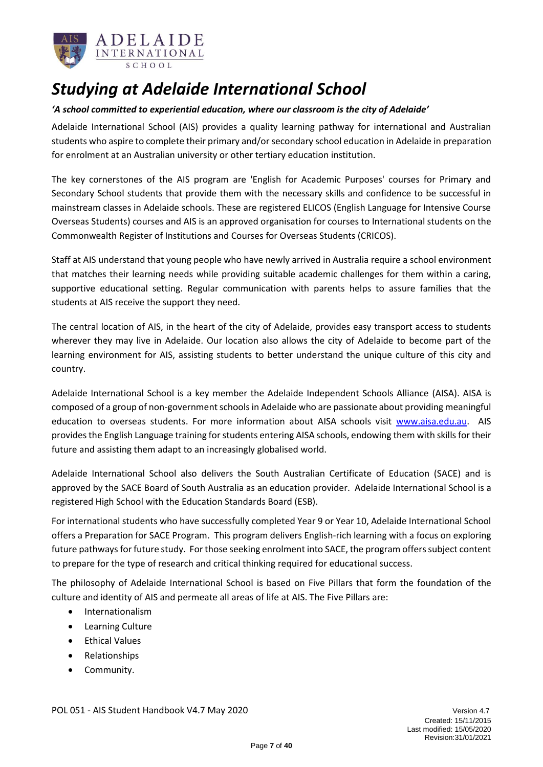

# <span id="page-6-0"></span>*Studying at Adelaide International School*

### *'A school committed to experiential education, where our classroom is the city of Adelaide'*

Adelaide International School (AIS) provides a quality learning pathway for international and Australian students who aspire to complete their primary and/or secondary school education in Adelaide in preparation for enrolment at an Australian university or other tertiary education institution.

The key cornerstones of the AIS program are 'English for Academic Purposes' courses for Primary and Secondary School students that provide them with the necessary skills and confidence to be successful in mainstream classes in Adelaide schools. These are registered ELICOS (English Language for Intensive Course Overseas Students) courses and AIS is an approved organisation for courses to International students on the Commonwealth Register of Institutions and Courses for Overseas Students (CRICOS).

Staff at AIS understand that young people who have newly arrived in Australia require a school environment that matches their learning needs while providing suitable academic challenges for them within a caring, supportive educational setting. Regular communication with parents helps to assure families that the students at AIS receive the support they need.

The central location of AIS, in the heart of the city of Adelaide, provides easy transport access to students wherever they may live in Adelaide. Our location also allows the city of Adelaide to become part of the learning environment for AIS, assisting students to better understand the unique culture of this city and country.

Adelaide International School is a key member the Adelaide Independent Schools Alliance (AISA). AISA is composed of a group of non-government schools in Adelaide who are passionate about providing meaningful education to overseas students. For more information about AISA schools visit [www.aisa.edu.au.](http://www.aisa.edu.au/) AIS provides the English Language training for students entering AISA schools, endowing them with skills for their future and assisting them adapt to an increasingly globalised world.

Adelaide International School also delivers the South Australian Certificate of Education (SACE) and is approved by the SACE Board of South Australia as an education provider. Adelaide International School is a registered High School with the Education Standards Board (ESB).

For international students who have successfully completed Year 9 or Year 10, Adelaide International School offers a Preparation for SACE Program. This program delivers English-rich learning with a focus on exploring future pathways for future study. For those seeking enrolment into SACE, the program offers subject content to prepare for the type of research and critical thinking required for educational success.

The philosophy of Adelaide International School is based on Five Pillars that form the foundation of the culture and identity of AIS and permeate all areas of life at AIS. The Five Pillars are:

- Internationalism
- Learning Culture
- Ethical Values
- Relationships
- Community.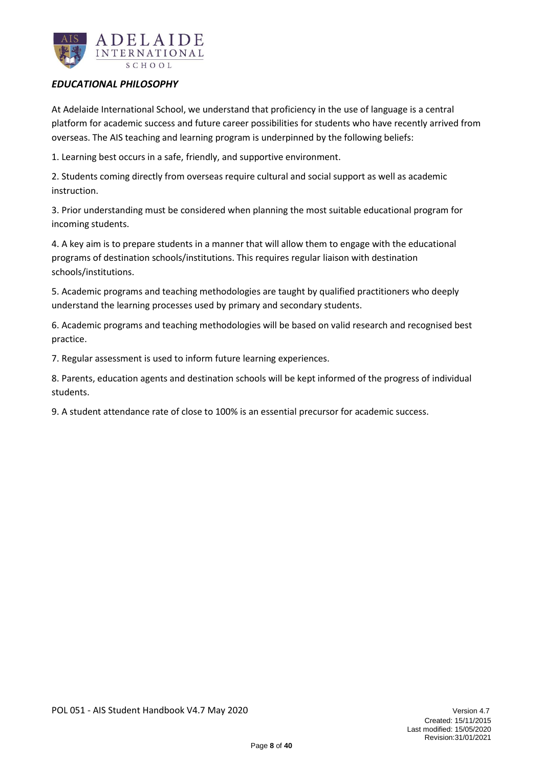

### *EDUCATIONAL PHILOSOPHY*

At Adelaide International School, we understand that proficiency in the use of language is a central platform for academic success and future career possibilities for students who have recently arrived from overseas. The AIS teaching and learning program is underpinned by the following beliefs:

1. Learning best occurs in a safe, friendly, and supportive environment.

2. Students coming directly from overseas require cultural and social support as well as academic instruction.

3. Prior understanding must be considered when planning the most suitable educational program for incoming students.

4. A key aim is to prepare students in a manner that will allow them to engage with the educational programs of destination schools/institutions. This requires regular liaison with destination schools/institutions.

5. Academic programs and teaching methodologies are taught by qualified practitioners who deeply understand the learning processes used by primary and secondary students.

6. Academic programs and teaching methodologies will be based on valid research and recognised best practice.

7. Regular assessment is used to inform future learning experiences.

8. Parents, education agents and destination schools will be kept informed of the progress of individual students.

9. A student attendance rate of close to 100% is an essential precursor for academic success.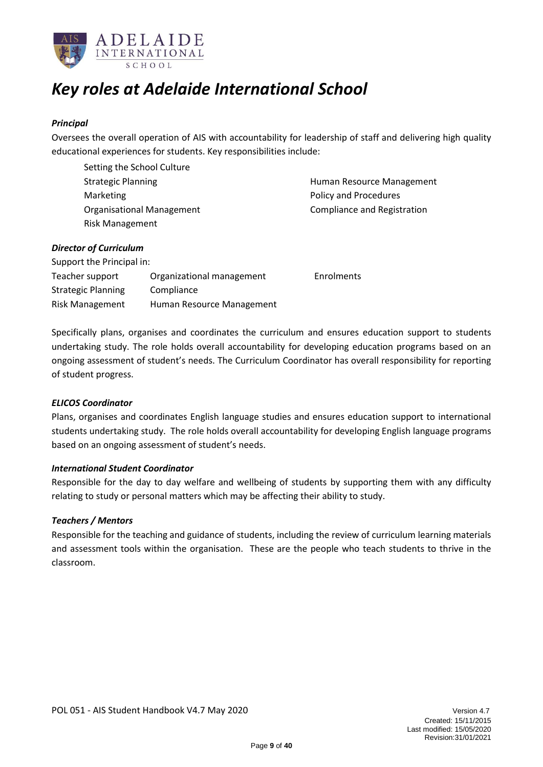

# <span id="page-8-0"></span>*Key roles at Adelaide International School*

### *Principal*

Oversees the overall operation of AIS with accountability for leadership of staff and delivering high quality educational experiences for students. Key responsibilities include:

Setting the School Culture Marketing **Policy and Procedures** Organisational Management Compliance and Registration Risk Management

Strategic Planning Theorem 2012 Strategic Planning Human Resource Management

#### *Director of Curriculum*

| Support the Principal in: |                           |                   |
|---------------------------|---------------------------|-------------------|
| Teacher support           | Organizational management | <b>Enrolments</b> |
| <b>Strategic Planning</b> | Compliance                |                   |
| <b>Risk Management</b>    | Human Resource Management |                   |

Specifically plans, organises and coordinates the curriculum and ensures education support to students undertaking study. The role holds overall accountability for developing education programs based on an ongoing assessment of student's needs. The Curriculum Coordinator has overall responsibility for reporting of student progress.

### *ELICOS Coordinator*

Plans, organises and coordinates English language studies and ensures education support to international students undertaking study. The role holds overall accountability for developing English language programs based on an ongoing assessment of student's needs.

### *International Student Coordinator*

Responsible for the day to day welfare and wellbeing of students by supporting them with any difficulty relating to study or personal matters which may be affecting their ability to study.

### *Teachers / Mentors*

Responsible for the teaching and guidance of students, including the review of curriculum learning materials and assessment tools within the organisation. These are the people who teach students to thrive in the classroom.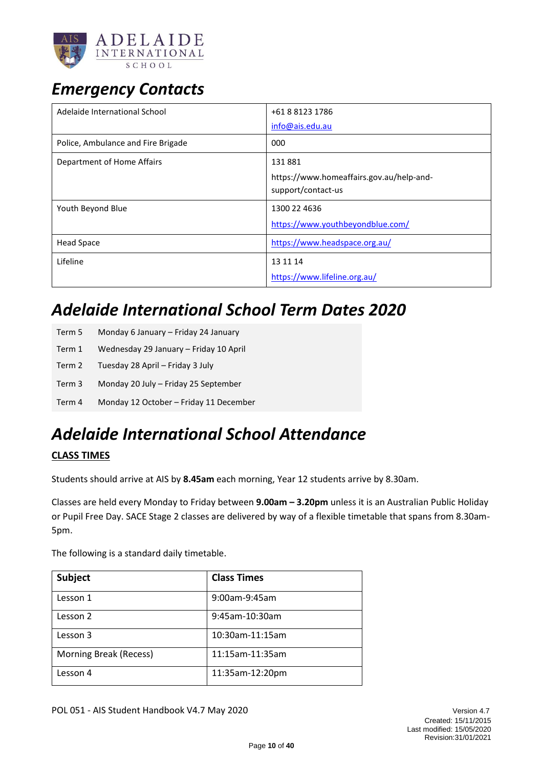

# <span id="page-9-0"></span>*Emergency Contacts*

| Adelaide International School      | +61 8 8123 1786<br>info@ais.edu.au                                       |
|------------------------------------|--------------------------------------------------------------------------|
| Police, Ambulance and Fire Brigade | 000                                                                      |
| Department of Home Affairs         | 131881<br>https://www.homeaffairs.gov.au/help-and-<br>support/contact-us |
| Youth Beyond Blue                  | 1300 22 4636<br>https://www.youthbeyondblue.com/                         |
| Head Space                         | https://www.headspace.org.au/                                            |
| Lifeline                           | 13 11 14<br>https://www.lifeline.org.au/                                 |

# <span id="page-9-1"></span>*Adelaide International School Term Dates 2020*

| Term 5 | Monday 6 January – Friday 24 January   |
|--------|----------------------------------------|
| Term 1 | Wednesday 29 January - Friday 10 April |
| Term 2 | Tuesday 28 April - Friday 3 July       |
| Term 3 | Monday 20 July - Friday 25 September   |
| Term 4 | Monday 12 October - Friday 11 December |

# <span id="page-9-2"></span>*Adelaide International School Attendance*

### **CLASS TIMES**

Students should arrive at AIS by **8.45am** each morning, Year 12 students arrive by 8.30am.

Classes are held every Monday to Friday between **9.00am – 3.20pm** unless it is an Australian Public Holiday or Pupil Free Day. SACE Stage 2 classes are delivered by way of a flexible timetable that spans from 8.30am-5pm.

The following is a standard daily timetable.

| Subject                | <b>Class Times</b> |
|------------------------|--------------------|
| Lesson 1               | 9:00am-9:45am      |
| Lesson 2               | 9:45am-10:30am     |
| Lesson 3               | 10:30am-11:15am    |
| Morning Break (Recess) | 11:15am-11:35am    |
| Lesson 4               | 11:35am-12:20pm    |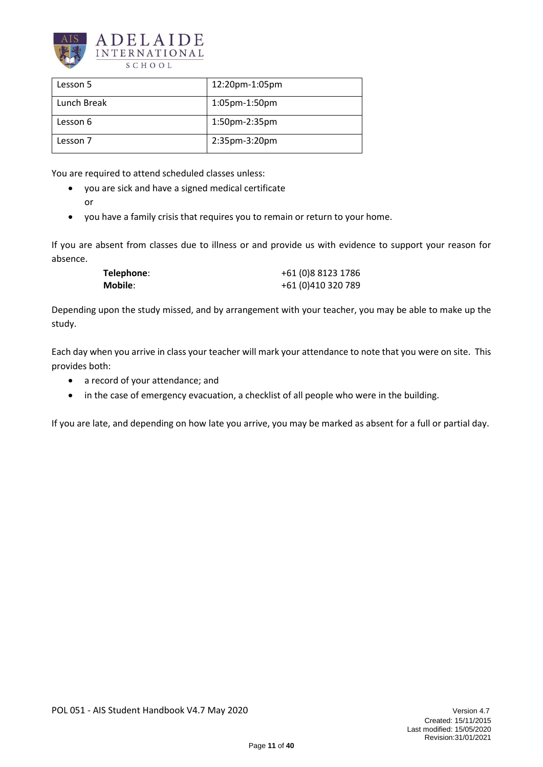

| Lesson 5    | 12:20pm-1:05pm |
|-------------|----------------|
| Lunch Break | 1:05pm-1:50pm  |
| Lesson 6    | 1:50pm-2:35pm  |
| Lesson 7    | 2:35pm-3:20pm  |

You are required to attend scheduled classes unless:

- you are sick and have a signed medical certificate
	- or
- you have a family crisis that requires you to remain or return to your home.

If you are absent from classes due to illness or and provide us with evidence to support your reason for absence.

| Telephone: | +61 (0)8 8123 1786 |
|------------|--------------------|
| Mobile:    | +61 (0)410 320 789 |

Depending upon the study missed, and by arrangement with your teacher, you may be able to make up the study.

Each day when you arrive in class your teacher will mark your attendance to note that you were on site. This provides both:

- a record of your attendance; and
- in the case of emergency evacuation, a checklist of all people who were in the building.

If you are late, and depending on how late you arrive, you may be marked as absent for a full or partial day.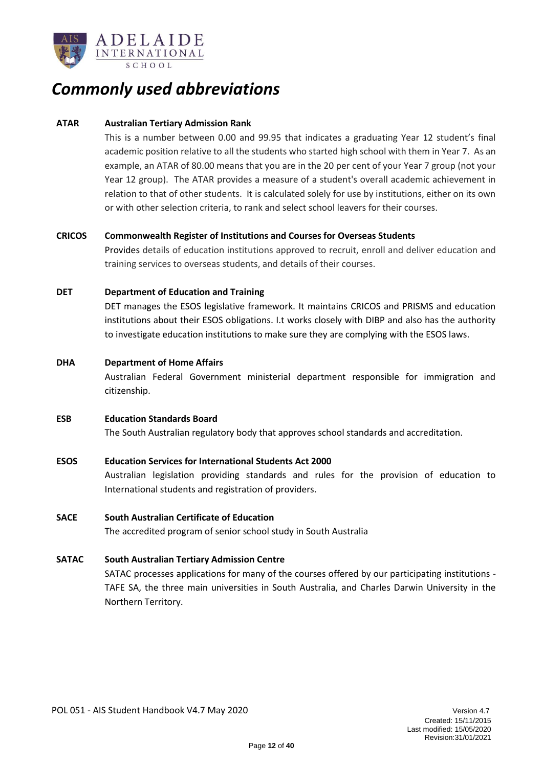

### <span id="page-11-0"></span>*Commonly used abbreviations*

### **ATAR Australian Tertiary Admission Rank**

This is a number between 0.00 and 99.95 that indicates a graduating Year 12 student's final academic position relative to all the students who started high school with them in Year 7. As an example, an ATAR of 80.00 means that you are in the 20 per cent of your Year 7 group (not your Year 12 group). The ATAR provides a measure of a student's overall academic achievement in relation to that of other students. It is calculated solely for use by institutions, either on its own or with other selection criteria, to rank and select school leavers for their courses.

### **CRICOS Commonwealth Register of Institutions and Courses for Overseas Students**

Provides details of education institutions approved to recruit, enroll and deliver education and training services to overseas students, and details of their courses.

### **DET Department of Education and Training**

DET manages the ESOS legislative framework. It maintains CRICOS and PRISMS and education institutions about their ESOS obligations. I.t works closely with DIBP and also has the authority to investigate education institutions to make sure they are complying with the ESOS laws.

### **DHA Department of Home Affairs**

Australian Federal Government ministerial department responsible for immigration and citizenship.

### **ESB Education Standards Board**

The South Australian regulatory body that approves school standards and accreditation.

### **ESOS Education Services for International Students Act 2000**

Australian legislation providing standards and rules for the provision of education to International students and registration of providers.

#### **SACE South Australian Certificate of Education**

The accredited program of senior school study in South Australia

#### **SATAC South Australian Tertiary Admission Centre**

SATAC processes applications for many of the courses offered by our participating institutions - TAFE SA, the three main universities in South Australia, and Charles Darwin University in the Northern Territory.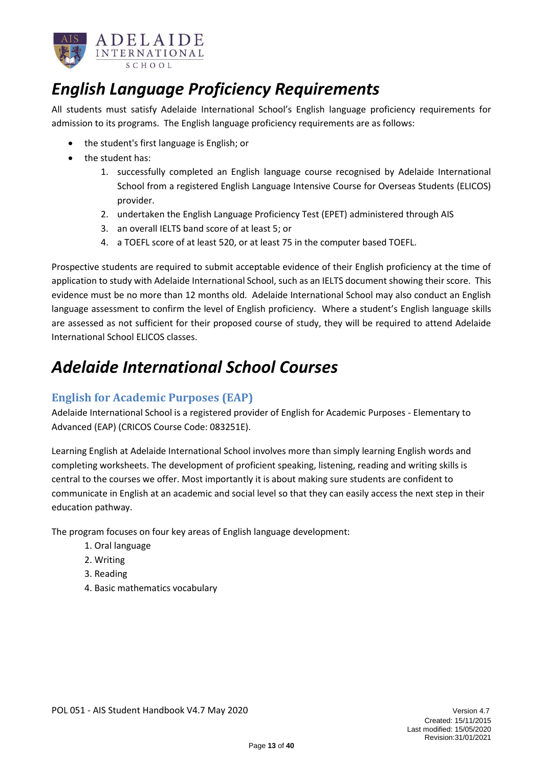

# <span id="page-12-0"></span>*English Language Proficiency Requirements*

All students must satisfy Adelaide International School's English language proficiency requirements for admission to its programs. The English language proficiency requirements are as follows:

- the student's first language is English; or
- the student has:
	- 1. successfully completed an English language course recognised by Adelaide International School from a registered English Language Intensive Course for Overseas Students (ELICOS) provider.
	- 2. undertaken the English Language Proficiency Test (EPET) administered through AIS
	- 3. an overall IELTS band score of at least 5; or
	- 4. a TOEFL score of at least 520, or at least 75 in the computer based TOEFL.

Prospective students are required to submit acceptable evidence of their English proficiency at the time of application to study with Adelaide International School, such as an IELTS document showing their score. This evidence must be no more than 12 months old. Adelaide International School may also conduct an English language assessment to confirm the level of English proficiency. Where a student's English language skills are assessed as not sufficient for their proposed course of study, they will be required to attend Adelaide International School ELICOS classes.

## <span id="page-12-1"></span>*Adelaide International School Courses*

### <span id="page-12-2"></span>**English for Academic Purposes (EAP)**

Adelaide International School is a registered provider of English for Academic Purposes - Elementary to Advanced (EAP) (CRICOS Course Code: 083251E).

Learning English at Adelaide International School involves more than simply learning English words and completing worksheets. The development of proficient speaking, listening, reading and writing skills is central to the courses we offer. Most importantly it is about making sure students are confident to communicate in English at an academic and social level so that they can easily access the next step in their education pathway.

The program focuses on four key areas of English language development:

- 1. Oral language
- 2. Writing
- 3. Reading
- 4. Basic mathematics vocabulary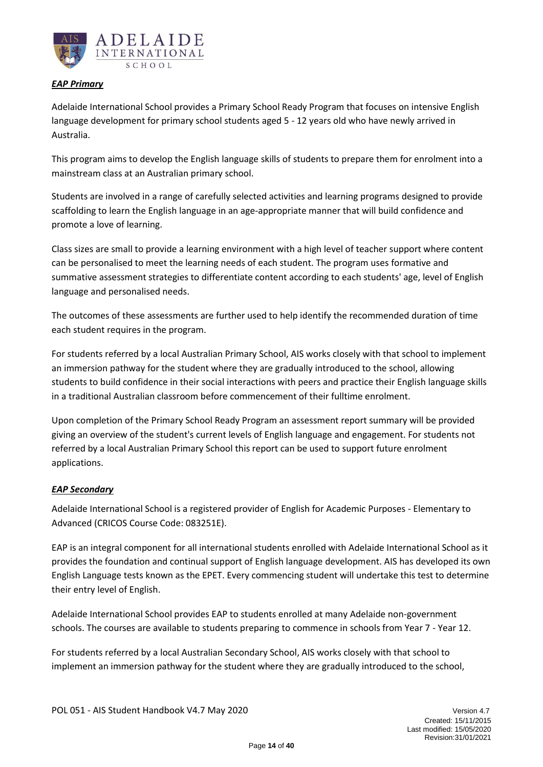

### *EAP Primary*

Adelaide International School provides a Primary School Ready Program that focuses on intensive English language development for primary school students aged 5 - 12 years old who have newly arrived in Australia.

This program aims to develop the English language skills of students to prepare them for enrolment into a mainstream class at an Australian primary school.

Students are involved in a range of carefully selected activities and learning programs designed to provide scaffolding to learn the English language in an age-appropriate manner that will build confidence and promote a love of learning.

Class sizes are small to provide a learning environment with a high level of teacher support where content can be personalised to meet the learning needs of each student. The program uses formative and summative assessment strategies to differentiate content according to each students' age, level of English language and personalised needs.

The outcomes of these assessments are further used to help identify the recommended duration of time each student requires in the program.

For students referred by a local Australian Primary School, AIS works closely with that school to implement an immersion pathway for the student where they are gradually introduced to the school, allowing students to build confidence in their social interactions with peers and practice their English language skills in a traditional Australian classroom before commencement of their fulltime enrolment.

Upon completion of the Primary School Ready Program an assessment report summary will be provided giving an overview of the student's current levels of English language and engagement. For students not referred by a local Australian Primary School this report can be used to support future enrolment applications.

### *EAP Secondary*

Adelaide International School is a registered provider of English for Academic Purposes - Elementary to Advanced (CRICOS Course Code: 083251E).

EAP is an integral component for all international students enrolled with Adelaide International School as it provides the foundation and continual support of English language development. AIS has developed its own English Language tests known as the EPET. Every commencing student will undertake this test to determine their entry level of English.

Adelaide International School provides EAP to students enrolled at many Adelaide non-government schools. The courses are available to students preparing to commence in schools from Year 7 - Year 12.

For students referred by a local Australian Secondary School, AIS works closely with that school to implement an immersion pathway for the student where they are gradually introduced to the school,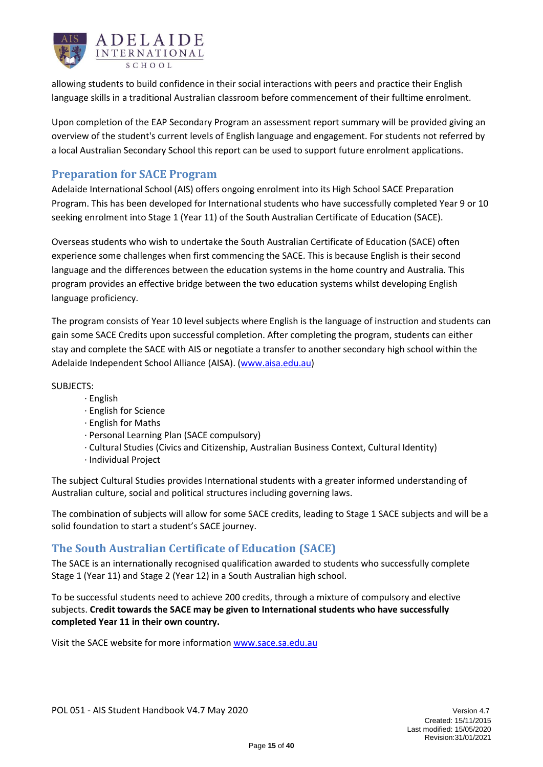

allowing students to build confidence in their social interactions with peers and practice their English language skills in a traditional Australian classroom before commencement of their fulltime enrolment.

Upon completion of the EAP Secondary Program an assessment report summary will be provided giving an overview of the student's current levels of English language and engagement. For students not referred by a local Australian Secondary School this report can be used to support future enrolment applications.

### <span id="page-14-0"></span>**Preparation for SACE Program**

Adelaide International School (AIS) offers ongoing enrolment into its High School SACE Preparation Program. This has been developed for International students who have successfully completed Year 9 or 10 seeking enrolment into Stage 1 (Year 11) of the South Australian Certificate of Education (SACE).

Overseas students who wish to undertake the South Australian Certificate of Education (SACE) often experience some challenges when first commencing the SACE. This is because English is their second language and the differences between the education systems in the home country and Australia. This program provides an effective bridge between the two education systems whilst developing English language proficiency.

The program consists of Year 10 level subjects where English is the language of instruction and students can gain some SACE Credits upon successful completion. After completing the program, students can either stay and complete the SACE with AIS or negotiate a transfer to another secondary high school within the Adelaide Independent School Alliance (AISA). [\(www.aisa.edu.au\)](http://www.aisa.edu.au/)

SUBJECTS:

- · English
	- · English for Science
	- · English for Maths
	- · Personal Learning Plan (SACE compulsory)
	- · Cultural Studies (Civics and Citizenship, Australian Business Context, Cultural Identity)
	- · Individual Project

The subject Cultural Studies provides International students with a greater informed understanding of Australian culture, social and political structures including governing laws.

The combination of subjects will allow for some SACE credits, leading to Stage 1 SACE subjects and will be a solid foundation to start a student's SACE journey.

### <span id="page-14-1"></span>**The South Australian Certificate of Education (SACE)**

The SACE is an internationally recognised qualification awarded to students who successfully complete Stage 1 (Year 11) and Stage 2 (Year 12) in a South Australian high school.

To be successful students need to achieve 200 credits, through a mixture of compulsory and elective subjects. **Credit towards the SACE may be given to International students who have successfully completed Year 11 in their own country.**

Visit the SACE website for more information [www.sace.sa.edu.au](http://www.sace.sa.edu.au/)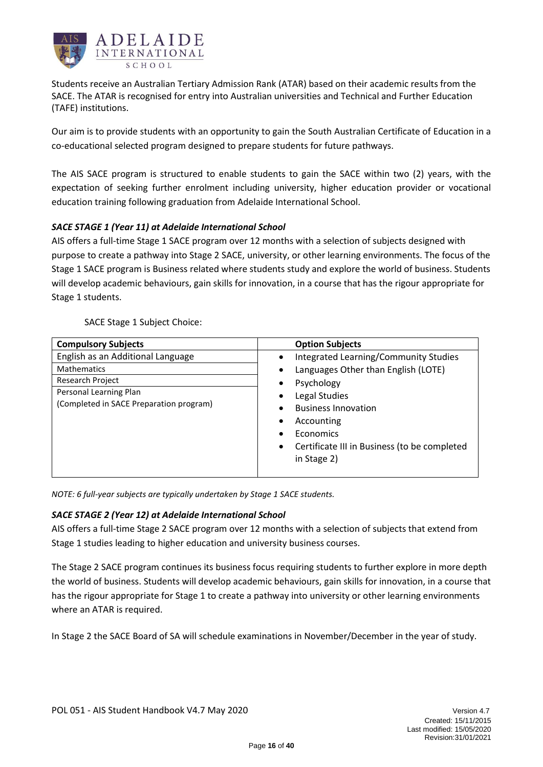

Students receive an Australian Tertiary Admission Rank (ATAR) based on their academic results from the SACE. The ATAR is recognised for entry into Australian universities and Technical and Further Education (TAFE) institutions.

Our aim is to provide students with an opportunity to gain the South Australian Certificate of Education in a co-educational selected program designed to prepare students for future pathways.

The AIS SACE program is structured to enable students to gain the SACE within two (2) years, with the expectation of seeking further enrolment including university, higher education provider or vocational education training following graduation from Adelaide International School.

### *SACE STAGE 1 (Year 11) at Adelaide International School*

AIS offers a full-time Stage 1 SACE program over 12 months with a selection of subjects designed with purpose to create a pathway into Stage 2 SACE, university, or other learning environments. The focus of the Stage 1 SACE program is Business related where students study and explore the world of business. Students will develop academic behaviours, gain skills for innovation, in a course that has the rigour appropriate for Stage 1 students.

| <b>Compulsory Subjects</b>              | <b>Option Subjects</b>                            |
|-----------------------------------------|---------------------------------------------------|
| English as an Additional Language       | Integrated Learning/Community Studies<br>٠        |
| <b>Mathematics</b>                      | Languages Other than English (LOTE)<br>$\bullet$  |
| Research Project                        | Psychology<br>٠                                   |
| Personal Learning Plan                  | Legal Studies<br>٠                                |
| (Completed in SACE Preparation program) | <b>Business Innovation</b><br>٠                   |
|                                         | Accounting<br>٠                                   |
|                                         | Economics                                         |
|                                         | Certificate III in Business (to be completed<br>٠ |
|                                         | in Stage 2)                                       |
|                                         |                                                   |

*NOTE: 6 full-year subjects are typically undertaken by Stage 1 SACE students.*

### *SACE STAGE 2 (Year 12) at Adelaide International School*

AIS offers a full-time Stage 2 SACE program over 12 months with a selection of subjects that extend from Stage 1 studies leading to higher education and university business courses.

The Stage 2 SACE program continues its business focus requiring students to further explore in more depth the world of business. Students will develop academic behaviours, gain skills for innovation, in a course that has the rigour appropriate for Stage 1 to create a pathway into university or other learning environments where an ATAR is required.

In Stage 2 the SACE Board of SA will schedule examinations in November/December in the year of study.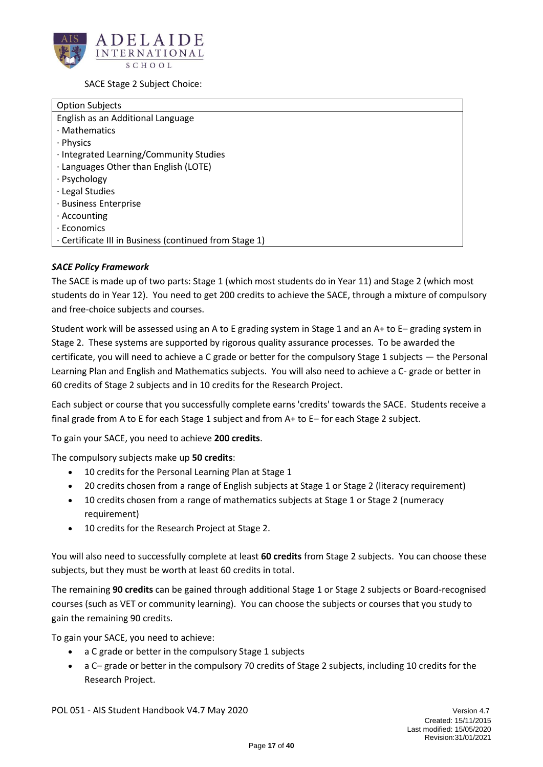

SACE Stage 2 Subject Choice:

| <b>Option Subjects</b>                                 |
|--------------------------------------------------------|
| English as an Additional Language                      |
| · Mathematics                                          |
| · Physics                                              |
| · Integrated Learning/Community Studies                |
| · Languages Other than English (LOTE)                  |
| · Psychology                                           |
| · Legal Studies                                        |
| · Business Enterprise                                  |
| $\cdot$ Accounting                                     |
| $\cdot$ Economics                                      |
| · Certificate III in Business (continued from Stage 1) |

### *SACE Policy Framework*

The SACE is made up of two parts: Stage 1 (which most students do in Year 11) and Stage 2 (which most students do in Year 12). You need to get 200 credits to achieve the SACE, through a mixture of compulsory and free-choice subjects and courses.

Student work will be assessed using an A to E grading system in Stage 1 and an A+ to E– grading system in Stage 2. These systems are supported by rigorous quality assurance processes. To be awarded the certificate, you will need to achieve a C grade or better for the compulsory Stage 1 subjects — the Personal Learning Plan and English and Mathematics subjects. You will also need to achieve a C- grade or better in 60 credits of Stage 2 subjects and in 10 credits for the Research Project.

Each subject or course that you successfully complete earns 'credits' towards the SACE. Students receive a final grade from A to E for each Stage 1 subject and from A+ to E– for each Stage 2 subject.

To gain your SACE, you need to achieve **200 credits**.

The compulsory subjects make up **50 credits**:

- 10 credits for the [Personal Learning Plan](https://www.sace.sa.edu.au/web/personal-learning-plan) at Stage 1
- 20 credits chosen from a range of English subjects at Stage 1 or Stage 2 (literacy requirement)
- 10 credits chosen from a range of mathematics subjects at Stage 1 or Stage 2 (numeracy requirement)
- 10 credits for the [Research Project](https://www.sace.sa.edu.au/web/research-project) at Stage 2.

You will also need to successfully complete at least **60 credits** from Stage 2 subjects. You can choose these subjects, but they must be worth at least 60 credits in total.

The remaining **90 credits** can be gained through additional Stage 1 or Stage 2 subjects or Board-recognised courses (such as VET or community learning). You can choose the subjects or courses that you study to gain the remaining 90 credits.

To gain your SACE, you need to achieve:

- a C grade or better in the compulsory Stage 1 subjects
- a C– grade or better in the compulsory 70 credits of Stage 2 subjects, including 10 credits for the Research Project.

POL 051 - AIS Student Handbook V4.7 May 2020 Version 4.7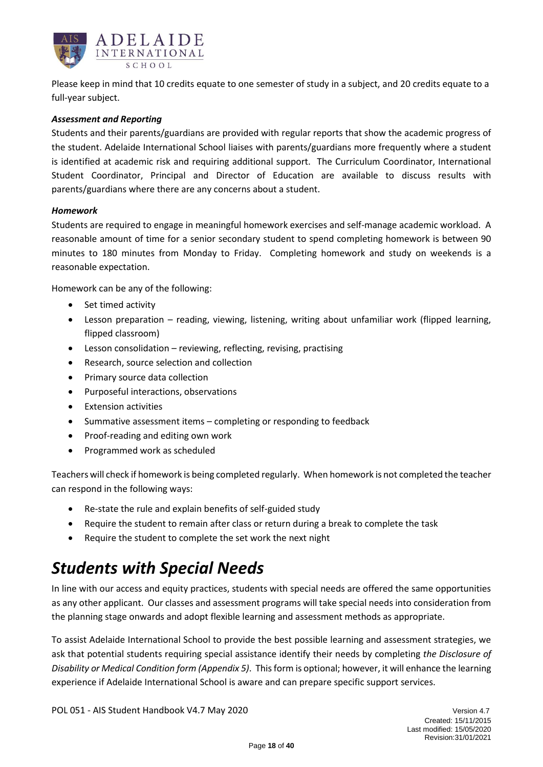

Please keep in mind that 10 credits equate to one semester of study in a subject, and 20 credits equate to a full-year subject.

### *Assessment and Reporting*

Students and their parents/guardians are provided with regular reports that show the academic progress of the student. Adelaide International School liaises with parents/guardians more frequently where a student is identified at academic risk and requiring additional support. The Curriculum Coordinator, International Student Coordinator, Principal and Director of Education are available to discuss results with parents/guardians where there are any concerns about a student.

#### *Homework*

Students are required to engage in meaningful homework exercises and self-manage academic workload. A reasonable amount of time for a senior secondary student to spend completing homework is between 90 minutes to 180 minutes from Monday to Friday. Completing homework and study on weekends is a reasonable expectation.

Homework can be any of the following:

- Set timed activity
- Lesson preparation reading, viewing, listening, writing about unfamiliar work (flipped learning, flipped classroom)
- Lesson consolidation reviewing, reflecting, revising, practising
- Research, source selection and collection
- Primary source data collection
- Purposeful interactions, observations
- Extension activities
- Summative assessment items completing or responding to feedback
- Proof-reading and editing own work
- Programmed work as scheduled

Teachers will check if homework is being completed regularly. When homework is not completed the teacher can respond in the following ways:

- Re-state the rule and explain benefits of self-guided study
- Require the student to remain after class or return during a break to complete the task
- Require the student to complete the set work the next night

## <span id="page-17-0"></span>*Students with Special Needs*

In line with our access and equity practices, students with special needs are offered the same opportunities as any other applicant. Our classes and assessment programs will take special needs into consideration from the planning stage onwards and adopt flexible learning and assessment methods as appropriate.

To assist Adelaide International School to provide the best possible learning and assessment strategies, we ask that potential students requiring special assistance identify their needs by completing *the Disclosure of Disability or Medical Condition form (Appendix 5)*. This form is optional; however, it will enhance the learning experience if Adelaide International School is aware and can prepare specific support services.

POL 051 - AIS Student Handbook V4.7 May 2020 Version 4.7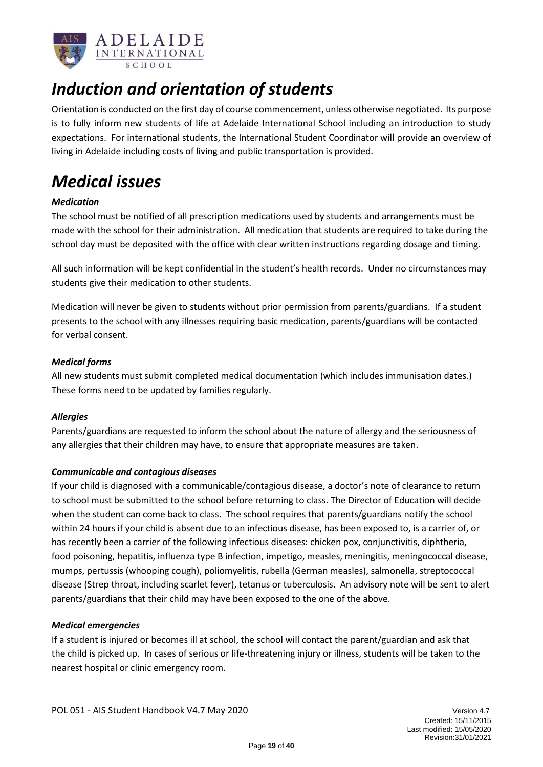

# <span id="page-18-0"></span>*Induction and orientation of students*

Orientation is conducted on the first day of course commencement, unless otherwise negotiated. Its purpose is to fully inform new students of life at Adelaide International School including an introduction to study expectations. For international students, the International Student Coordinator will provide an overview of living in Adelaide including costs of living and public transportation is provided.

# <span id="page-18-1"></span>*Medical issues*

### *Medication*

The school must be notified of all prescription medications used by students and arrangements must be made with the school for their administration. All medication that students are required to take during the school day must be deposited with the office with clear written instructions regarding dosage and timing.

All such information will be kept confidential in the student's health records. Under no circumstances may students give their medication to other students.

Medication will never be given to students without prior permission from parents/guardians. If a student presents to the school with any illnesses requiring basic medication, parents/guardians will be contacted for verbal consent.

### *Medical forms*

All new students must submit completed medical documentation (which includes immunisation dates.) These forms need to be updated by families regularly.

### *Allergies*

Parents/guardians are requested to inform the school about the nature of allergy and the seriousness of any allergies that their children may have, to ensure that appropriate measures are taken.

### *Communicable and contagious diseases*

If your child is diagnosed with a communicable/contagious disease, a doctor's note of clearance to return to school must be submitted to the school before returning to class. The Director of Education will decide when the student can come back to class. The school requires that parents/guardians notify the school within 24 hours if your child is absent due to an infectious disease, has been exposed to, is a carrier of, or has recently been a carrier of the following infectious diseases: chicken pox, conjunctivitis, diphtheria, food poisoning, hepatitis, influenza type B infection, impetigo, measles, meningitis, meningococcal disease, mumps, pertussis (whooping cough), poliomyelitis, rubella (German measles), salmonella, streptococcal disease (Strep throat, including scarlet fever), tetanus or tuberculosis. An advisory note will be sent to alert parents/guardians that their child may have been exposed to the one of the above.

### *Medical emergencies*

If a student is injured or becomes ill at school, the school will contact the parent/guardian and ask that the child is picked up. In cases of serious or life-threatening injury or illness, students will be taken to the nearest hospital or clinic emergency room.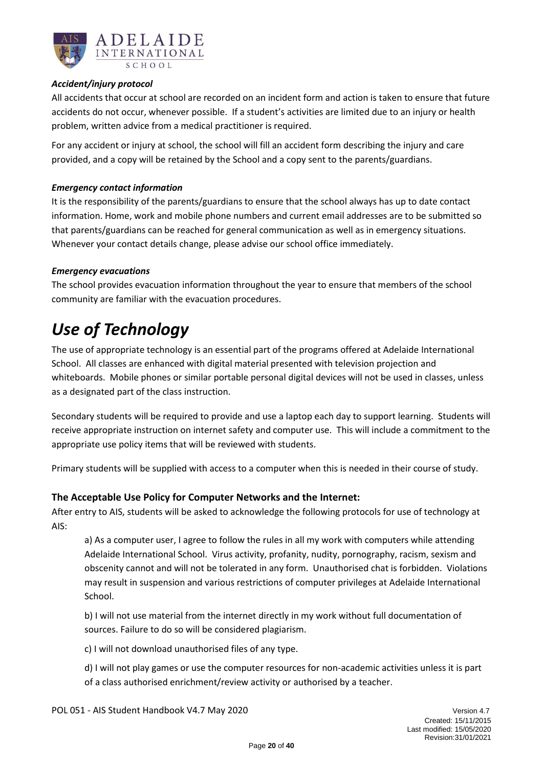

### *Accident/injury protocol*

All accidents that occur at school are recorded on an incident form and action is taken to ensure that future accidents do not occur, whenever possible. If a student's activities are limited due to an injury or health problem, written advice from a medical practitioner is required.

For any accident or injury at school, the school will fill an accident form describing the injury and care provided, and a copy will be retained by the School and a copy sent to the parents/guardians.

### *Emergency contact information*

It is the responsibility of the parents/guardians to ensure that the school always has up to date contact information. Home, work and mobile phone numbers and current email addresses are to be submitted so that parents/guardians can be reached for general communication as well as in emergency situations. Whenever your contact details change, please advise our school office immediately.

### *Emergency evacuations*

The school provides evacuation information throughout the year to ensure that members of the school community are familiar with the evacuation procedures.

## <span id="page-19-0"></span>*Use of Technology*

The use of appropriate technology is an essential part of the programs offered at Adelaide International School. All classes are enhanced with digital material presented with television projection and whiteboards. Mobile phones or similar portable personal digital devices will not be used in classes, unless as a designated part of the class instruction.

Secondary students will be required to provide and use a laptop each day to support learning. Students will receive appropriate instruction on internet safety and computer use. This will include a commitment to the appropriate use policy items that will be reviewed with students.

Primary students will be supplied with access to a computer when this is needed in their course of study.

### **The Acceptable Use Policy for Computer Networks and the Internet:**

After entry to AIS, students will be asked to acknowledge the following protocols for use of technology at AIS:

a) As a computer user, I agree to follow the rules in all my work with computers while attending Adelaide International School. Virus activity, profanity, nudity, pornography, racism, sexism and obscenity cannot and will not be tolerated in any form. Unauthorised chat is forbidden. Violations may result in suspension and various restrictions of computer privileges at Adelaide International School.

b) I will not use material from the internet directly in my work without full documentation of sources. Failure to do so will be considered plagiarism.

c) I will not download unauthorised files of any type.

d) I will not play games or use the computer resources for non-academic activities unless it is part of a class authorised enrichment/review activity or authorised by a teacher.

POL 051 - AIS Student Handbook V4.7 May 2020 Version 4.7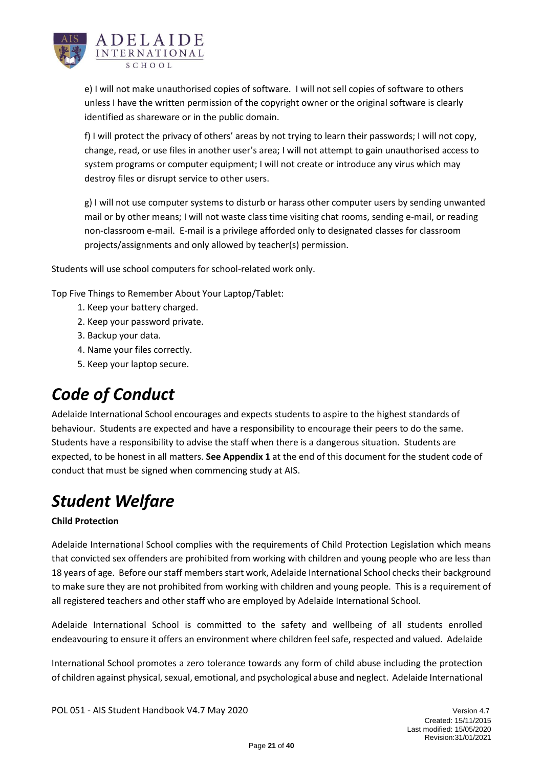

e) I will not make unauthorised copies of software. I will not sell copies of software to others unless I have the written permission of the copyright owner or the original software is clearly identified as shareware or in the public domain.

f) I will protect the privacy of others' areas by not trying to learn their passwords; I will not copy, change, read, or use files in another user's area; I will not attempt to gain unauthorised access to system programs or computer equipment; I will not create or introduce any virus which may destroy files or disrupt service to other users.

g) I will not use computer systems to disturb or harass other computer users by sending unwanted mail or by other means; I will not waste class time visiting chat rooms, sending e-mail, or reading non-classroom e-mail. E-mail is a privilege afforded only to designated classes for classroom projects/assignments and only allowed by teacher(s) permission.

Students will use school computers for school-related work only.

Top Five Things to Remember About Your Laptop/Tablet:

- 1. Keep your battery charged.
- 2. Keep your password private.
- 3. Backup your data.
- 4. Name your files correctly.
- 5. Keep your laptop secure.

# <span id="page-20-0"></span>*Code of Conduct*

Adelaide International School encourages and expects students to aspire to the highest standards of behaviour. Students are expected and have a responsibility to encourage their peers to do the same. Students have a responsibility to advise the staff when there is a dangerous situation. Students are expected, to be honest in all matters. **See Appendix 1** at the end of this document for the student code of conduct that must be signed when commencing study at AIS.

# <span id="page-20-1"></span>*Student Welfare*

### **Child Protection**

Adelaide International School complies with the requirements of Child Protection Legislation which means that convicted sex offenders are prohibited from working with children and young people who are less than 18 years of age. Before our staff members start work, Adelaide International School checks their background to make sure they are not prohibited from working with children and young people. This is a requirement of all registered teachers and other staff who are employed by Adelaide International School.

Adelaide International School is committed to the safety and wellbeing of all students enrolled endeavouring to ensure it offers an environment where children feel safe, respected and valued. Adelaide

International School promotes a zero tolerance towards any form of child abuse including the protection of children against physical, sexual, emotional, and psychological abuse and neglect. Adelaide International

POL 051 - AIS Student Handbook V4.7 May 2020 Version 4.7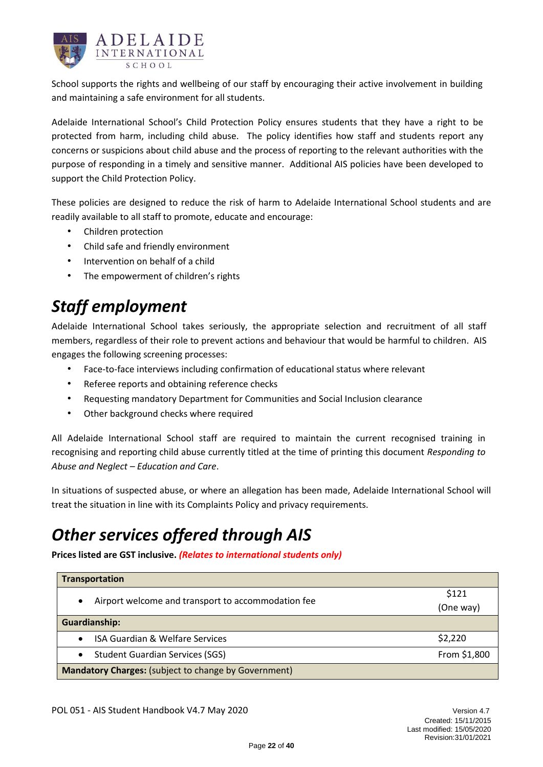

School supports the rights and wellbeing of our staff by encouraging their active involvement in building and maintaining a safe environment for all students.

Adelaide International School's Child Protection Policy ensures students that they have a right to be protected from harm, including child abuse. The policy identifies how staff and students report any concerns or suspicions about child abuse and the process of reporting to the relevant authorities with the purpose of responding in a timely and sensitive manner. Additional AIS policies have been developed to support the Child Protection Policy.

These policies are designed to reduce the risk of harm to Adelaide International School students and are readily available to all staff to promote, educate and encourage:

- Children protection
- Child safe and friendly environment
- Intervention on behalf of a child
- The empowerment of children's rights

# <span id="page-21-0"></span>*Staff employment*

Adelaide International School takes seriously, the appropriate selection and recruitment of all staff members, regardless of their role to prevent actions and behaviour that would be harmful to children. AIS engages the following screening processes:

- Face-to-face interviews including confirmation of educational status where relevant
- Referee reports and obtaining reference checks
- Requesting mandatory Department for Communities and Social Inclusion clearance
- Other background checks where required

All Adelaide International School staff are required to maintain the current recognised training in recognising and reporting child abuse currently titled at the time of printing this document *Responding to Abuse and Neglect – Education and Care*.

In situations of suspected abuse, or where an allegation has been made, Adelaide International School will treat the situation in line with its Complaints Policy and privacy requirements.

# <span id="page-21-1"></span>*Other services offered through AIS*

**Prices listed are GST inclusive.** *(Relates to international students only)*

| <b>Transportation</b>                                       |              |
|-------------------------------------------------------------|--------------|
| Airport welcome and transport to accommodation fee<br>٠     | \$121        |
|                                                             | (One way)    |
| <b>Guardianship:</b>                                        |              |
| <b>ISA Guardian &amp; Welfare Services</b>                  | \$2,220      |
| <b>Student Guardian Services (SGS)</b>                      | From \$1,800 |
| <b>Mandatory Charges: (subject to change by Government)</b> |              |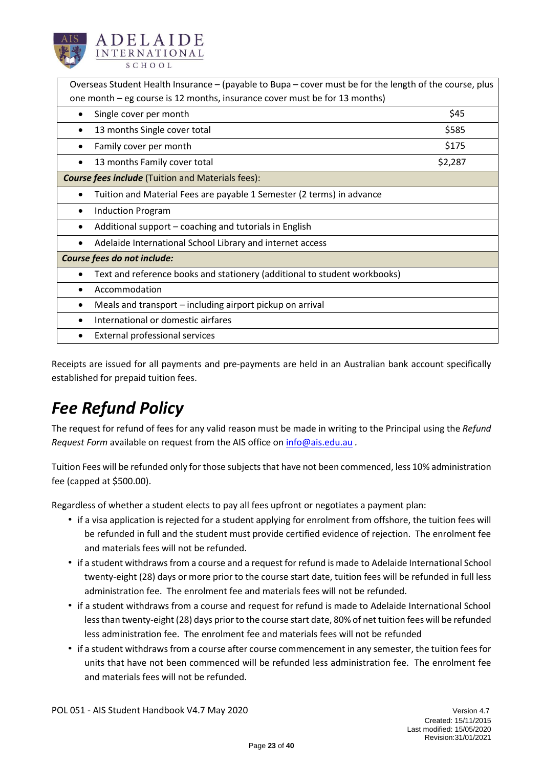

| Overseas Student Health Insurance - (payable to Bupa - cover must be for the length of the course, plus |         |  |
|---------------------------------------------------------------------------------------------------------|---------|--|
| one month – eg course is 12 months, insurance cover must be for 13 months)                              |         |  |
| Single cover per month                                                                                  | \$45    |  |
| 13 months Single cover total<br>$\bullet$                                                               | \$585   |  |
| Family cover per month                                                                                  | \$175   |  |
| 13 months Family cover total                                                                            | \$2,287 |  |
| <b>Course fees include</b> (Tuition and Materials fees):                                                |         |  |
| Tuition and Material Fees are payable 1 Semester (2 terms) in advance                                   |         |  |
| <b>Induction Program</b>                                                                                |         |  |
| Additional support – coaching and tutorials in English                                                  |         |  |
| Adelaide International School Library and internet access                                               |         |  |
| Course fees do not include:                                                                             |         |  |
| Text and reference books and stationery (additional to student workbooks)                               |         |  |
| Accommodation                                                                                           |         |  |
| Meals and transport – including airport pickup on arrival                                               |         |  |
| International or domestic airfares                                                                      |         |  |
| External professional services                                                                          |         |  |

Receipts are issued for all payments and pre-payments are held in an Australian bank account specifically established for prepaid tuition fees.

# <span id="page-22-0"></span>*Fee Refund Policy*

The request for refund of fees for any valid reason must be made in writing to the Principal using the *Refund Request Form* available on request from the AIS office o[n info@ais.edu.au](mailto:info@ais.edu.au) *.* 

Tuition Fees will be refunded only for those subjects that have not been commenced, less 10% administration fee (capped at \$500.00).

Regardless of whether a student elects to pay all fees upfront or negotiates a payment plan:

- if a visa application is rejected for a student applying for enrolment from offshore, the tuition fees will be refunded in full and the student must provide certified evidence of rejection. The enrolment fee and materials fees will not be refunded.
- if a student withdraws from a course and a request for refund is made to Adelaide International School twenty-eight (28) days or more prior to the course start date, tuition fees will be refunded in full less administration fee. The enrolment fee and materials fees will not be refunded.
- if a student withdraws from a course and request for refund is made to Adelaide International School less than twenty-eight(28) days prior to the course start date, 80% of net tuition fees will be refunded less administration fee. The enrolment fee and materials fees will not be refunded
- if a student withdraws from a course after course commencement in any semester, the tuition fees for units that have not been commenced will be refunded less administration fee. The enrolment fee and materials fees will not be refunded.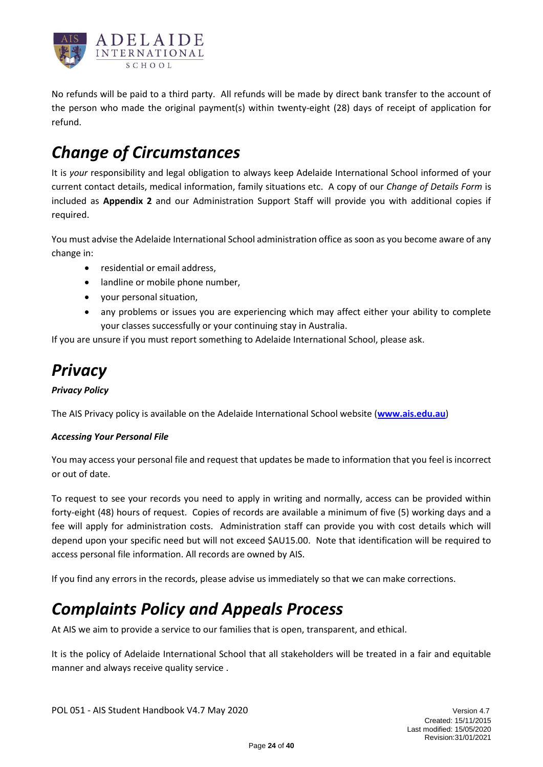

No refunds will be paid to a third party. All refunds will be made by direct bank transfer to the account of the person who made the original payment(s) within twenty-eight (28) days of receipt of application for refund.

# <span id="page-23-0"></span>*Change of Circumstances*

It is *your* responsibility and legal obligation to always keep Adelaide International School informed of your current contact details, medical information, family situations etc. A copy of our *Change of Details Form* is included as **Appendix 2** and our Administration Support Staff will provide you with additional copies if required.

You must advise the Adelaide International School administration office as soon as you become aware of any change in:

- residential or email address,
- landline or mobile phone number,
- your personal situation,
- any problems or issues you are experiencing which may affect either your ability to complete your classes successfully or your continuing stay in Australia.

If you are unsure if you must report something to Adelaide International School, please ask.

# <span id="page-23-1"></span>*Privacy*

### *Privacy Policy*

The AIS Privacy policy is available on the Adelaide International School website (**[www.ais.edu.au](http://www.ais.edu.au/)**)

### *Accessing Your Personal File*

You may access your personal file and request that updates be made to information that you feel is incorrect or out of date.

To request to see your records you need to apply in writing and normally, access can be provided within forty-eight (48) hours of request. Copies of records are available a minimum of five (5) working days and a fee will apply for administration costs. Administration staff can provide you with cost details which will depend upon your specific need but will not exceed \$AU15.00. Note that identification will be required to access personal file information. All records are owned by AIS.

If you find any errors in the records, please advise us immediately so that we can make corrections.

## <span id="page-23-2"></span>*Complaints Policy and Appeals Process*

At AIS we aim to provide a service to our families that is open, transparent, and ethical.

It is the policy of Adelaide International School that all stakeholders will be treated in a fair and equitable manner and always receive quality service .

POL 051 - AIS Student Handbook V4.7 May 2020 Version 4.7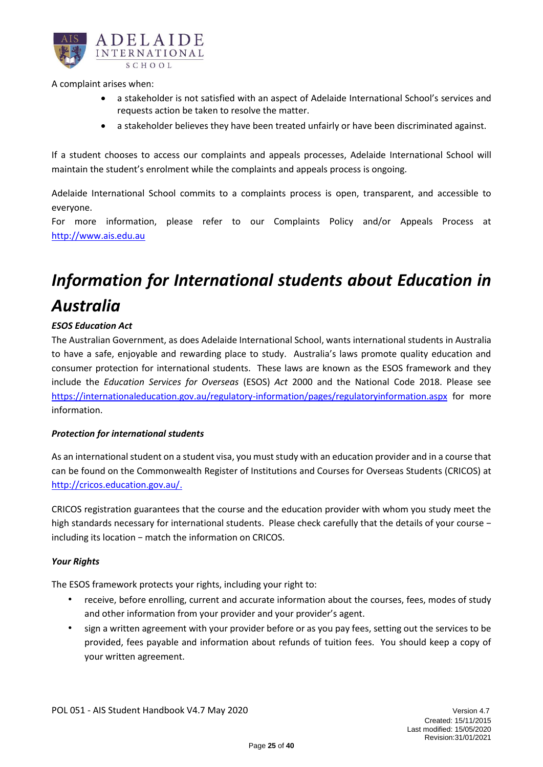

A complaint arises when:

- a stakeholder is not satisfied with an aspect of Adelaide International School's services and requests action be taken to resolve the matter.
- a stakeholder believes they have been treated unfairly or have been discriminated against.

If a student chooses to access our complaints and appeals processes, Adelaide International School will maintain the student's enrolment while the complaints and appeals process is ongoing.

Adelaide International School commits to a complaints process is open, transparent, and accessible to everyone.

For more information, please refer to our Complaints Policy and/or Appeals Process at [http://www.ais.edu.au](http://www.ais.edu.au/)

# <span id="page-24-0"></span>*Information for International students about Education in Australia*

### *ESOS Education Act*

The Australian Government, as does Adelaide International School, wants international students in Australia to have a safe, enjoyable and rewarding place to study. Australia's laws promote quality education and consumer protection for international students. These laws are known as the ESOS framework and they include the *Education Services for Overseas* (ESOS) *Act* 2000 and the National Code 2018. Please see <https://internationaleducation.gov.au/regulatory-information/pages/regulatoryinformation.aspx> for more information.

### *Protection for international students*

As an international student on a student visa, you must study with an education provider and in a course that can be found on the Commonwealth Register of Institutions and Courses for Overseas Students (CRICOS) at [http://cricos.education.gov.au/.](http://cricos.education.gov.au/)

CRICOS registration guarantees that the course and the education provider with whom you study meet the high standards necessary for international students. Please check carefully that the details of your course − including its location − match the information on CRICOS.

### *Your Rights*

The ESOS framework protects your rights, including your right to:

- receive, before enrolling, current and accurate information about the courses, fees, modes of study and other information from your provider and your provider's agent.
- sign a written agreement with your provider before or as you pay fees, setting out the services to be provided, fees payable and information about refunds of tuition fees. You should keep a copy of your written agreement.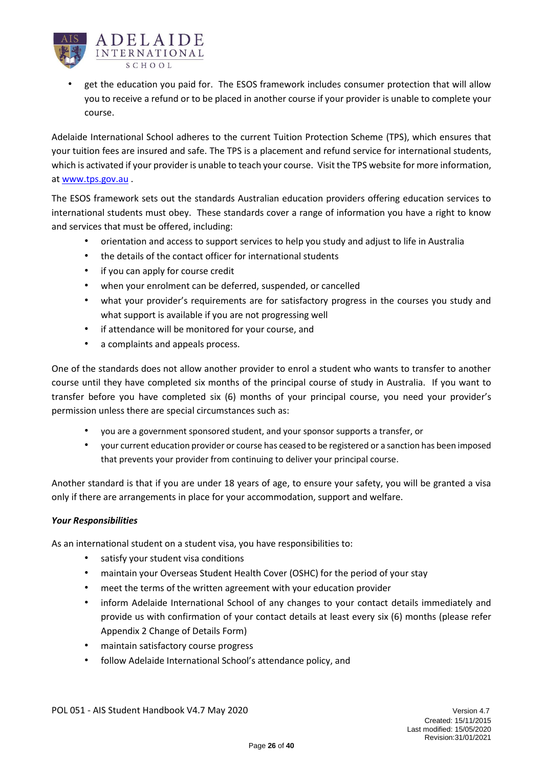

• get the education you paid for. The ESOS framework includes consumer protection that will allow you to receive a refund or to be placed in another course if your provider is unable to complete your course.

Adelaide International School adheres to the current Tuition Protection Scheme (TPS), which ensures that your tuition fees are insured and safe. The TPS is a placement and refund service for international students, which is activated if your provider is unable to teach your course. Visit the TPS website for more information, at [www.tps.gov.au](http://www.tps.gov.au/) .

The ESOS framework sets out the standards Australian education providers offering education services to international students must obey. These standards cover a range of information you have a right to know and services that must be offered, including:

- orientation and access to support services to help you study and adjust to life in Australia
- the details of the contact officer for international students
- if you can apply for course credit
- when your enrolment can be deferred, suspended, or cancelled
- what your provider's requirements are for satisfactory progress in the courses you study and what support is available if you are not progressing well
- if attendance will be monitored for your course, and
- a complaints and appeals process.

One of the standards does not allow another provider to enrol a student who wants to transfer to another course until they have completed six months of the principal course of study in Australia. If you want to transfer before you have completed six (6) months of your principal course, you need your provider's permission unless there are special circumstances such as:

- you are a government sponsored student, and your sponsor supports a transfer, or
- your current education provider or course has ceased to be registered or a sanction has been imposed that prevents your provider from continuing to deliver your principal course.

Another standard is that if you are under 18 years of age, to ensure your safety, you will be granted a visa only if there are arrangements in place for your accommodation, support and welfare.

### *Your Responsibilities*

As an international student on a student visa, you have responsibilities to:

- satisfy your student visa conditions
- maintain your Overseas Student Health Cover (OSHC) for the period of your stay
- meet the terms of the written agreement with your education provider
- inform Adelaide International School of any changes to your contact details immediately and provide us with confirmation of your contact details at least every six (6) months (please refer Appendix 2 Change of Details Form)
- maintain satisfactory course progress
- follow Adelaide International School's attendance policy, and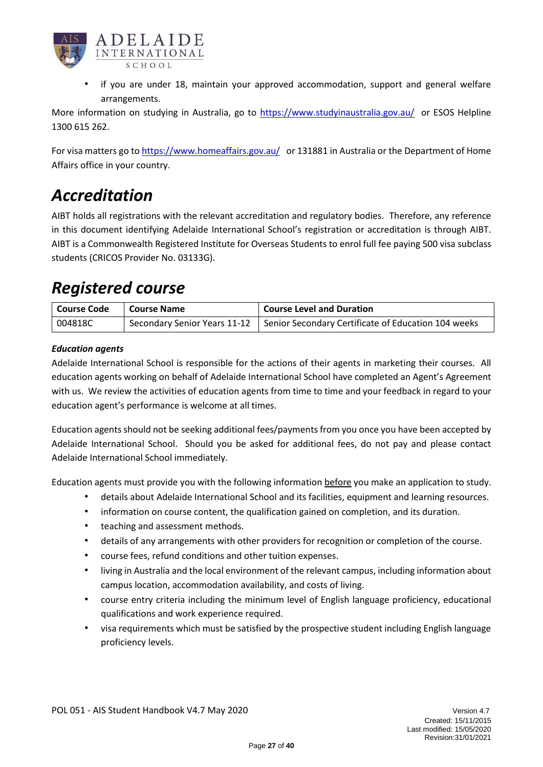

if you are under 18, maintain your approved accommodation, support and general welfare arrangements.

More information on studying in Australia, go to<https://www.studyinaustralia.gov.au/> or ESOS Helpline 1300 615 262.

For visa matters go to <https://www.homeaffairs.gov.au/>or 131881 in Australia or the Department of Home Affairs office in your country.

## <span id="page-26-0"></span>*Accreditation*

AIBT holds all registrations with the relevant accreditation and regulatory bodies. Therefore, any reference in this document identifying Adelaide International School's registration or accreditation is through AIBT. AIBT is a Commonwealth Registered Institute for Overseas Students to enrol full fee paying 500 visa subclass students (CRICOS Provider No. 03133G).

### <span id="page-26-1"></span>*Registered course*

| <b>Course Code</b> | <b>Course Name</b> | Course Level and Duration                                                          |
|--------------------|--------------------|------------------------------------------------------------------------------------|
| 004818C            |                    | Secondary Senior Years 11-12   Senior Secondary Certificate of Education 104 weeks |

### *Education agents*

Adelaide International School is responsible for the actions of their agents in marketing their courses. All education agents working on behalf of Adelaide International School have completed an Agent's Agreement with us. We review the activities of education agents from time to time and your feedback in regard to your education agent's performance is welcome at all times.

Education agents should not be seeking additional fees/payments from you once you have been accepted by Adelaide International School. Should you be asked for additional fees, do not pay and please contact Adelaide International School immediately.

Education agents must provide you with the following information before you make an application to study.

- details about Adelaide International School and its facilities, equipment and learning resources.
- information on course content, the qualification gained on completion, and its duration.
- teaching and assessment methods.
- details of any arrangements with other providers for recognition or completion of the course.
- course fees, refund conditions and other tuition expenses.
- living in Australia and the local environment of the relevant campus, including information about campus location, accommodation availability, and costs of living.
- course entry criteria including the minimum level of English language proficiency, educational qualifications and work experience required.
- visa requirements which must be satisfied by the prospective student including English language proficiency levels.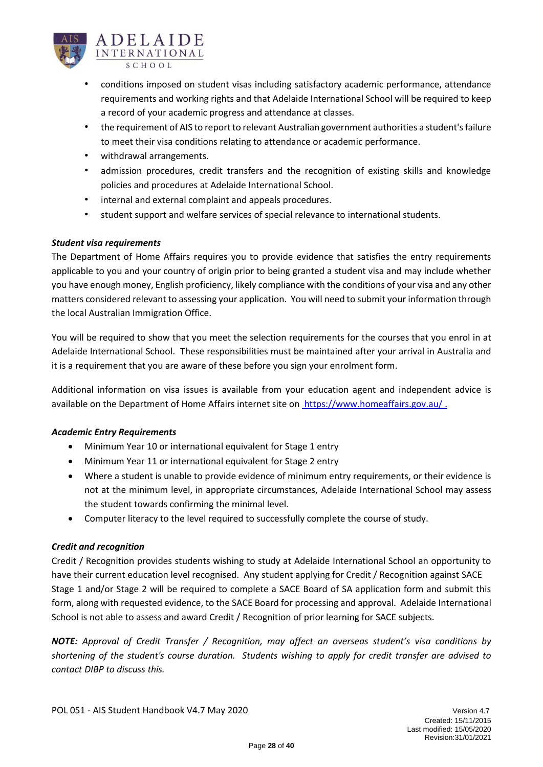

- conditions imposed on student visas including satisfactory academic performance, attendance requirements and working rights and that Adelaide International School will be required to keep a record of your academic progress and attendance at classes.
- the requirement of AIS to report to relevant Australian government authorities a student's failure to meet their visa conditions relating to attendance or academic performance.
- withdrawal arrangements.
- admission procedures, credit transfers and the recognition of existing skills and knowledge policies and procedures at Adelaide International School.
- internal and external complaint and appeals procedures.
- student support and welfare services of special relevance to international students.

### *Student visa requirements*

The Department of Home Affairs requires you to provide evidence that satisfies the entry requirements applicable to you and your country of origin prior to being granted a student visa and may include whether you have enough money, English proficiency, likely compliance with the conditions of your visa and any other matters considered relevant to assessing your application. You will need to submit your information through the local Australian Immigration Office.

You will be required to show that you meet the selection requirements for the courses that you enrol in at Adelaide International School. These responsibilities must be maintained after your arrival in Australia and it is a requirement that you are aware of these before you sign your enrolment form.

Additional information on visa issues is available from your education agent and independent advice is available on the Department of Home Affairs internet site on<https://www.homeaffairs.gov.au/> .

### *Academic Entry Requirements*

- Minimum Year 10 or international equivalent for Stage 1 entry
- Minimum Year 11 or international equivalent for Stage 2 entry
- Where a student is unable to provide evidence of minimum entry requirements, or their evidence is not at the minimum level, in appropriate circumstances, Adelaide International School may assess the student towards confirming the minimal level.
- Computer literacy to the level required to successfully complete the course of study.

### *Credit and recognition*

Credit / Recognition provides students wishing to study at Adelaide International School an opportunity to have their current education level recognised. Any student applying for Credit / Recognition against SACE Stage 1 and/or Stage 2 will be required to complete a SACE Board of SA application form and submit this form, along with requested evidence, to the SACE Board for processing and approval. Adelaide International School is not able to assess and award Credit / Recognition of prior learning for SACE subjects.

*NOTE: Approval of Credit Transfer / Recognition, may affect an overseas student's visa conditions by shortening of the student's course duration. Students wishing to apply for credit transfer are advised to contact DIBP to discuss this.*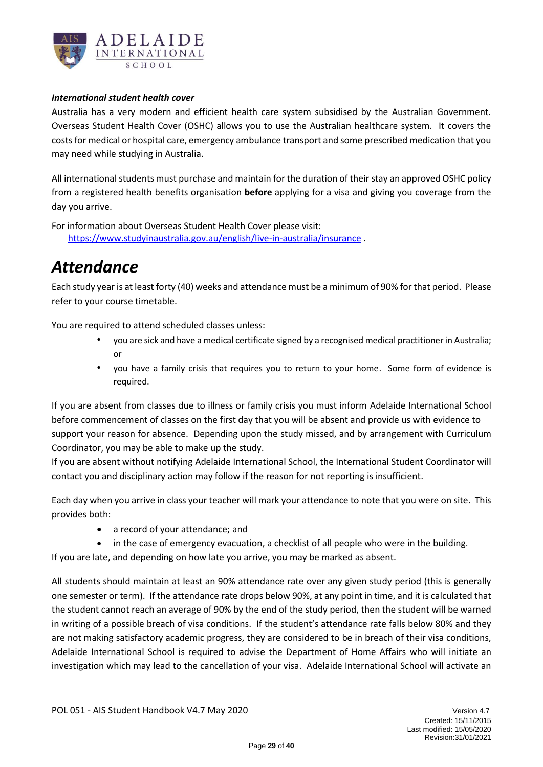

### *International student health cover*

Australia has a very modern and efficient health care system subsidised by the Australian Government. Overseas Student Health Cover (OSHC) allows you to use the Australian healthcare system. It covers the costs for medical or hospital care, emergency ambulance transport and some prescribed medication that you may need while studying in Australia.

All international students must purchase and maintain for the duration of their stay an approved OSHC policy from a registered health benefits organisation **before** applying for a visa and giving you coverage from the day you arrive.

For information about Overseas Student Health Cover please visit: <https://www.studyinaustralia.gov.au/english/live-in-australia/insurance> .

### <span id="page-28-0"></span>*Attendance*

Each study year is at least forty (40) weeks and attendance must be a minimum of 90% for that period. Please refer to your course timetable.

You are required to attend scheduled classes unless:

- you are sick and have a medical certificate signed by a recognised medical practitioner in Australia; or
- you have a family crisis that requires you to return to your home. Some form of evidence is required.

If you are absent from classes due to illness or family crisis you must inform Adelaide International School before commencement of classes on the first day that you will be absent and provide us with evidence to support your reason for absence. Depending upon the study missed, and by arrangement with Curriculum Coordinator, you may be able to make up the study.

If you are absent without notifying Adelaide International School, the International Student Coordinator will contact you and disciplinary action may follow if the reason for not reporting is insufficient.

Each day when you arrive in class your teacher will mark your attendance to note that you were on site. This provides both:

- a record of your attendance; and
- in the case of emergency evacuation, a checklist of all people who were in the building.

If you are late, and depending on how late you arrive, you may be marked as absent.

All students should maintain at least an 90% attendance rate over any given study period (this is generally one semester or term). If the attendance rate drops below 90%, at any point in time, and it is calculated that the student cannot reach an average of 90% by the end of the study period, then the student will be warned in writing of a possible breach of visa conditions. If the student's attendance rate falls below 80% and they are not making satisfactory academic progress, they are considered to be in breach of their visa conditions, Adelaide International School is required to advise the Department of Home Affairs who will initiate an investigation which may lead to the cancellation of your visa. Adelaide International School will activate an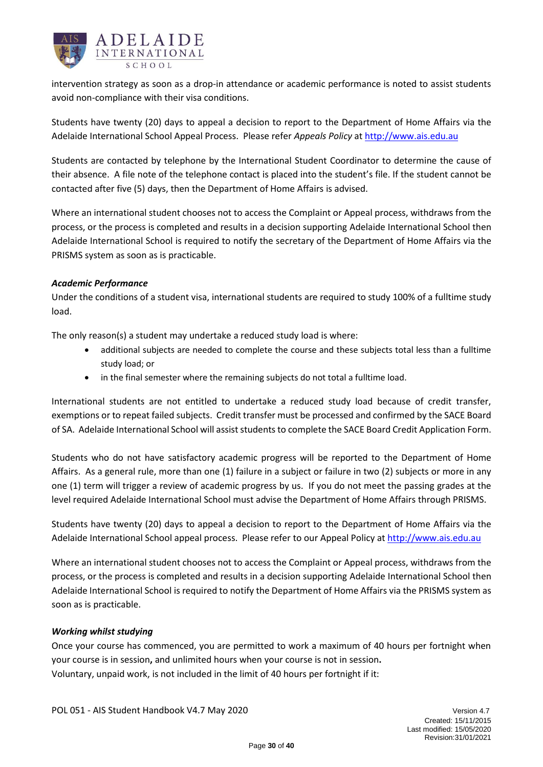

intervention strategy as soon as a drop-in attendance or academic performance is noted to assist students avoid non-compliance with their visa conditions.

Students have twenty (20) days to appeal a decision to report to the Department of Home Affairs via the Adelaide International School Appeal Process. Please refer *Appeals Policy* at [http://www.ais.edu.au](http://www.ais.edu.au/)

Students are contacted by telephone by the International Student Coordinator to determine the cause of their absence. A file note of the telephone contact is placed into the student's file. If the student cannot be contacted after five (5) days, then the Department of Home Affairs is advised.

Where an international student chooses not to access the Complaint or Appeal process, withdraws from the process, or the process is completed and results in a decision supporting Adelaide International School then Adelaide International School is required to notify the secretary of the Department of Home Affairs via the PRISMS system as soon as is practicable.

### *Academic Performance*

Under the conditions of a student visa, international students are required to study 100% of a fulltime study load.

The only reason(s) a student may undertake a reduced study load is where:

- additional subjects are needed to complete the course and these subjects total less than a fulltime study load; or
- in the final semester where the remaining subjects do not total a fulltime load.

International students are not entitled to undertake a reduced study load because of credit transfer, exemptions or to repeat failed subjects. Credit transfer must be processed and confirmed by the SACE Board of SA. Adelaide International School will assist students to complete the SACE Board Credit Application Form.

Students who do not have satisfactory academic progress will be reported to the Department of Home Affairs. As a general rule, more than one (1) failure in a subject or failure in two (2) subjects or more in any one (1) term will trigger a review of academic progress by us. If you do not meet the passing grades at the level required Adelaide International School must advise the Department of Home Affairs through PRISMS.

Students have twenty (20) days to appeal a decision to report to the Department of Home Affairs via the Adelaide International School appeal process. Please refer to our Appeal Policy at [http://www.ais.edu.au](http://www.ais.edu.au/)

Where an international student chooses not to access the Complaint or Appeal process, withdraws from the process, or the process is completed and results in a decision supporting Adelaide International School then Adelaide International School is required to notify the Department of Home Affairs via the PRISMS system as soon as is practicable.

### *Working whilst studying*

Once your course has commenced, you are permitted to work a maximum of 40 hours per fortnight when your course is in session**,** and unlimited hours when your course is not in session**.** Voluntary, unpaid work, is not included in the limit of 40 hours per fortnight if it: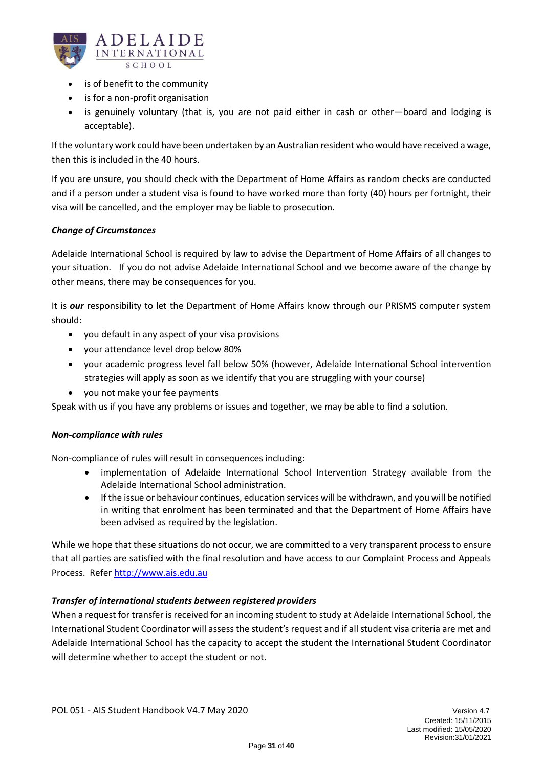

- is of benefit to the community
- is for a non-profit organisation
- is genuinely voluntary (that is, you are not paid either in cash or other—board and lodging is acceptable).

If the voluntary work could have been undertaken by an Australian resident who would have received a wage, then this is included in the 40 hours.

If you are unsure, you should check with the Department of Home Affairs as random checks are conducted and if a person under a student visa is found to have worked more than forty (40) hours per fortnight, their visa will be cancelled, and the employer may be liable to prosecution.

### *Change of Circumstances*

Adelaide International School is required by law to advise the Department of Home Affairs of all changes to your situation. If you do not advise Adelaide International School and we become aware of the change by other means, there may be consequences for you.

It is *our* responsibility to let the Department of Home Affairs know through our PRISMS computer system should:

- you default in any aspect of your visa provisions
- your attendance level drop below 80%
- your academic progress level fall below 50% (however, Adelaide International School intervention strategies will apply as soon as we identify that you are struggling with your course)
- you not make your fee payments

Speak with us if you have any problems or issues and together, we may be able to find a solution.

### *Non-compliance with rules*

Non-compliance of rules will result in consequences including:

- implementation of Adelaide International School Intervention Strategy available from the Adelaide International School administration.
- If the issue or behaviour continues, education services will be withdrawn, and you will be notified in writing that enrolment has been terminated and that the Department of Home Affairs have been advised as required by the legislation.

While we hope that these situations do not occur, we are committed to a very transparent process to ensure that all parties are satisfied with the final resolution and have access to our Complaint Process and Appeals Process. Refer [http://www.ais.edu.au](http://www.ais.edu.au/) 

### *Transfer of international students between registered providers*

When a request for transfer is received for an incoming student to study at Adelaide International School, the International Student Coordinator will assess the student's request and if all student visa criteria are met and Adelaide International School has the capacity to accept the student the International Student Coordinator will determine whether to accept the student or not.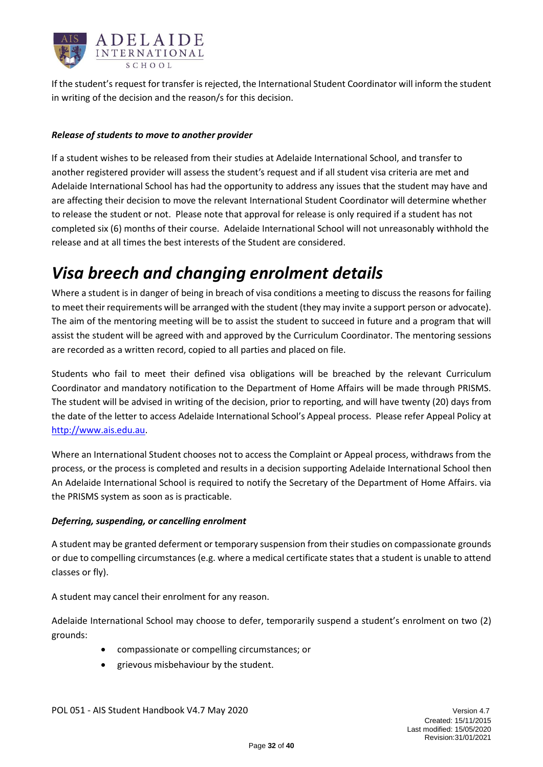

If the student's request for transfer is rejected, the International Student Coordinator will inform the student in writing of the decision and the reason/s for this decision.

### *Release of students to move to another provider*

If a student wishes to be released from their studies at Adelaide International School, and transfer to another registered provider will assess the student's request and if all student visa criteria are met and Adelaide International School has had the opportunity to address any issues that the student may have and are affecting their decision to move the relevant International Student Coordinator will determine whether to release the student or not. Please note that approval for release is only required if a student has not completed six (6) months of their course. Adelaide International School will not unreasonably withhold the release and at all times the best interests of the Student are considered.

### <span id="page-31-0"></span>*Visa breech and changing enrolment details*

Where a student is in danger of being in breach of visa conditions a meeting to discuss the reasons for failing to meet their requirements will be arranged with the student (they may invite a support person or advocate). The aim of the mentoring meeting will be to assist the student to succeed in future and a program that will assist the student will be agreed with and approved by the Curriculum Coordinator. The mentoring sessions are recorded as a written record, copied to all parties and placed on file.

Students who fail to meet their defined visa obligations will be breached by the relevant Curriculum Coordinator and mandatory notification to the Department of Home Affairs will be made through PRISMS. The student will be advised in writing of the decision, prior to reporting, and will have twenty (20) days from the date of the letter to access Adelaide International School's Appeal process. Please refer Appeal Policy at [http://www.ais.edu.au.](http://www.ais.edu.au/)

Where an International Student chooses not to access the Complaint or Appeal process, withdraws from the process, or the process is completed and results in a decision supporting Adelaide International School then An Adelaide International School is required to notify the Secretary of the Department of Home Affairs. via the PRISMS system as soon as is practicable.

### *Deferring, suspending, or cancelling enrolment*

A student may be granted deferment or temporary suspension from their studies on compassionate grounds or due to compelling circumstances (e.g. where a medical certificate states that a student is unable to attend classes or fly).

A student may cancel their enrolment for any reason.

Adelaide International School may choose to defer, temporarily suspend a student's enrolment on two (2) grounds:

- compassionate or compelling circumstances; or
- grievous misbehaviour by the student.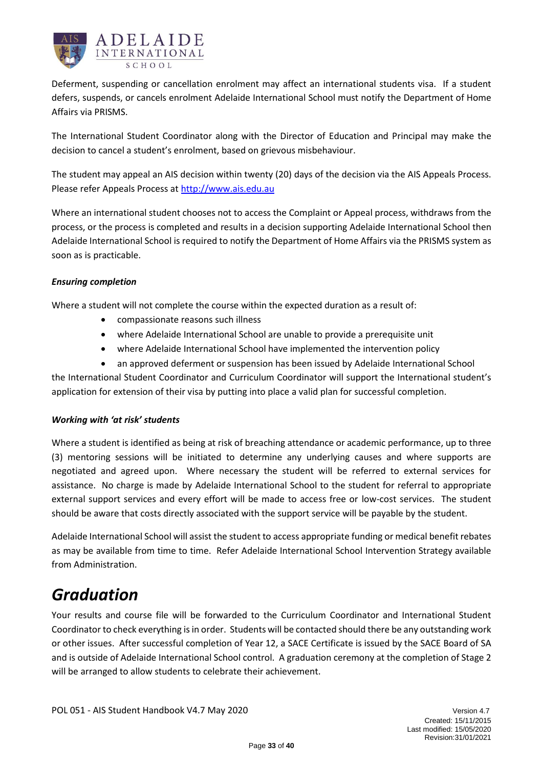

Deferment, suspending or cancellation enrolment may affect an international students visa. If a student defers, suspends, or cancels enrolment Adelaide International School must notify the Department of Home Affairs via PRISMS.

The International Student Coordinator along with the Director of Education and Principal may make the decision to cancel a student's enrolment, based on grievous misbehaviour.

The student may appeal an AIS decision within twenty (20) days of the decision via the AIS Appeals Process. Please refer Appeals Process at [http://www.ais.edu.au](http://www.ais.edu.au/)

Where an international student chooses not to access the Complaint or Appeal process, withdraws from the process, or the process is completed and results in a decision supporting Adelaide International School then Adelaide International School is required to notify the Department of Home Affairs via the PRISMS system as soon as is practicable.

### *Ensuring completion*

Where a student will not complete the course within the expected duration as a result of:

- compassionate reasons such illness
- where Adelaide International School are unable to provide a prerequisite unit
- where Adelaide International School have implemented the intervention policy
- an approved deferment or suspension has been issued by Adelaide International School

the International Student Coordinator and Curriculum Coordinator will support the International student's application for extension of their visa by putting into place a valid plan for successful completion.

### *Working with 'at risk' students*

Where a student is identified as being at risk of breaching attendance or academic performance, up to three (3) mentoring sessions will be initiated to determine any underlying causes and where supports are negotiated and agreed upon. Where necessary the student will be referred to external services for assistance. No charge is made by Adelaide International School to the student for referral to appropriate external support services and every effort will be made to access free or low-cost services. The student should be aware that costs directly associated with the support service will be payable by the student.

Adelaide International School will assist the student to access appropriate funding or medical benefit rebates as may be available from time to time. Refer Adelaide International School Intervention Strategy available from Administration.

### <span id="page-32-0"></span>*Graduation*

Your results and course file will be forwarded to the Curriculum Coordinator and International Student Coordinator to check everything is in order. Students will be contacted should there be any outstanding work or other issues. After successful completion of Year 12, a SACE Certificate is issued by the SACE Board of SA and is outside of Adelaide International School control. A graduation ceremony at the completion of Stage 2 will be arranged to allow students to celebrate their achievement.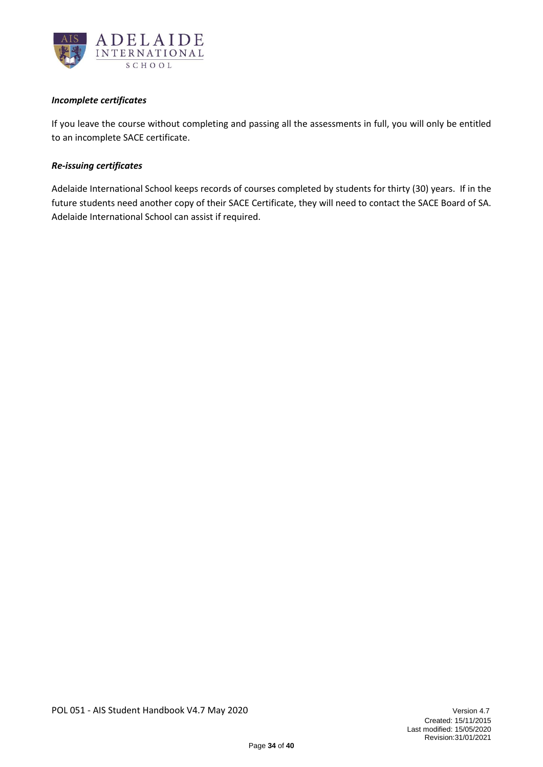

### *Incomplete certificates*

If you leave the course without completing and passing all the assessments in full, you will only be entitled to an incomplete SACE certificate.

### *Re-issuing certificates*

Adelaide International School keeps records of courses completed by students for thirty (30) years. If in the future students need another copy of their SACE Certificate, they will need to contact the SACE Board of SA. Adelaide International School can assist if required.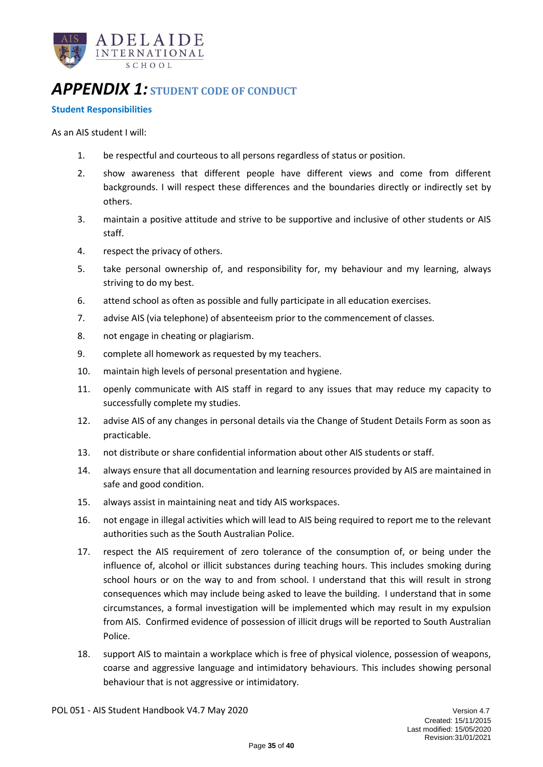

### <span id="page-34-0"></span>*APPENDIX 1:* **STUDENT CODE OF CONDUCT**

### **Student Responsibilities**

As an AIS student I will:

- 1. be respectful and courteous to all persons regardless of status or position.
- 2. show awareness that different people have different views and come from different backgrounds. I will respect these differences and the boundaries directly or indirectly set by others.
- 3. maintain a positive attitude and strive to be supportive and inclusive of other students or AIS staff.
- 4. respect the privacy of others.
- 5. take personal ownership of, and responsibility for, my behaviour and my learning, always striving to do my best.
- 6. attend school as often as possible and fully participate in all education exercises.
- 7. advise AIS (via telephone) of absenteeism prior to the commencement of classes.
- 8. not engage in cheating or plagiarism.
- 9. complete all homework as requested by my teachers.
- 10. maintain high levels of personal presentation and hygiene.
- 11. openly communicate with AIS staff in regard to any issues that may reduce my capacity to successfully complete my studies.
- 12. advise AIS of any changes in personal details via the Change of Student Details Form as soon as practicable.
- 13. not distribute or share confidential information about other AIS students or staff.
- 14. always ensure that all documentation and learning resources provided by AIS are maintained in safe and good condition.
- 15. always assist in maintaining neat and tidy AIS workspaces.
- 16. not engage in illegal activities which will lead to AIS being required to report me to the relevant authorities such as the South Australian Police.
- 17. respect the AIS requirement of zero tolerance of the consumption of, or being under the influence of, alcohol or illicit substances during teaching hours. This includes smoking during school hours or on the way to and from school. I understand that this will result in strong consequences which may include being asked to leave the building. I understand that in some circumstances, a formal investigation will be implemented which may result in my expulsion from AIS. Confirmed evidence of possession of illicit drugs will be reported to South Australian Police.
- 18. support AIS to maintain a workplace which is free of physical violence, possession of weapons, coarse and aggressive language and intimidatory behaviours. This includes showing personal behaviour that is not aggressive or intimidatory.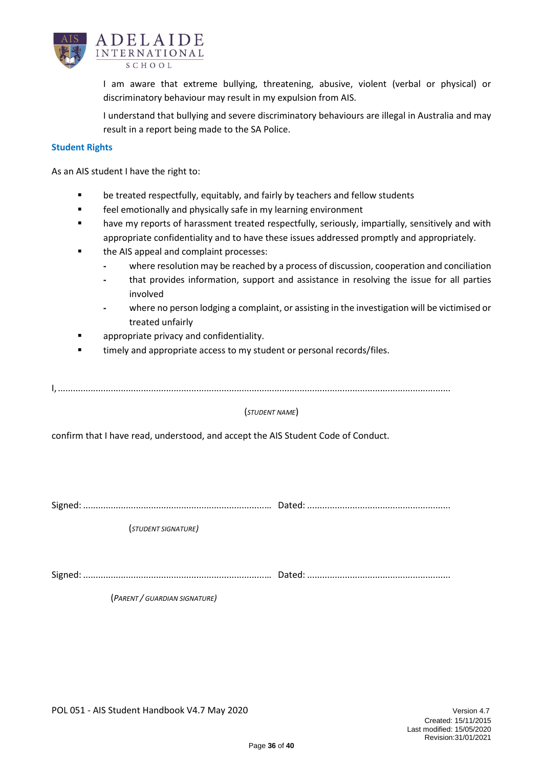

I am aware that extreme bullying, threatening, abusive, violent (verbal or physical) or discriminatory behaviour may result in my expulsion from AIS.

I understand that bullying and severe discriminatory behaviours are illegal in Australia and may result in a report being made to the SA Police.

#### **Student Rights**

As an AIS student I have the right to:

- be treated respectfully, equitably, and fairly by teachers and fellow students
- feel emotionally and physically safe in my learning environment
- have my reports of harassment treated respectfully, seriously, impartially, sensitively and with appropriate confidentiality and to have these issues addressed promptly and appropriately.
- the AIS appeal and complaint processes:
	- **-** where resolution may be reached by a process of discussion, cooperation and conciliation
	- **-** that provides information, support and assistance in resolving the issue for all parties involved
	- **-** where no person lodging a complaint, or assisting in the investigation will be victimised or treated unfairly
- appropriate privacy and confidentiality.
- timely and appropriate access to my student or personal records/files.

I,............................................................................................................................................................

(*STUDENT NAME*)

confirm that I have read, understood, and accept the AIS Student Code of Conduct.

Signed: ........................................................................… Dated: .........................................................

(*STUDENT SIGNATURE)*

Signed: ........................................................................… Dated: .........................................................

(*PARENT / GUARDIAN SIGNATURE)*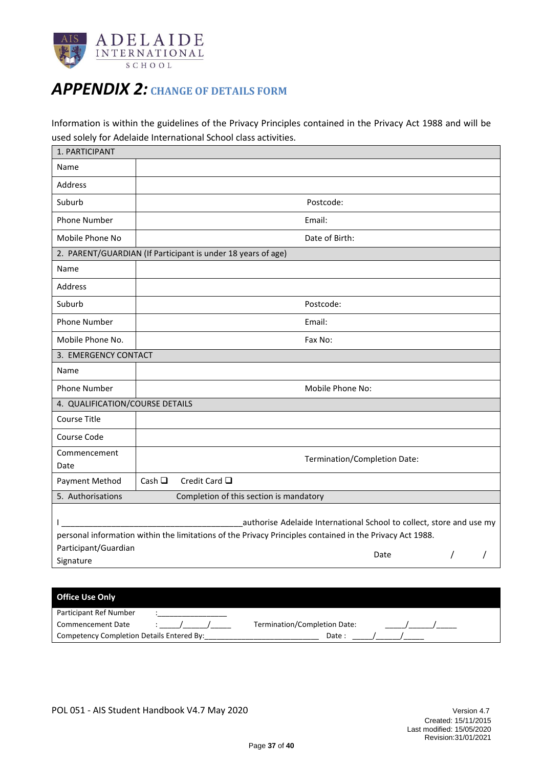

### <span id="page-36-0"></span>*APPENDIX 2:* **CHANGE OF DETAILS FORM**

Information is within the guidelines of the Privacy Principles contained in the Privacy Act 1988 and will be used solely for Adelaide International School class activities.

| Name                                                                                                                                                                                  |                |                                                              |      |          |  |
|---------------------------------------------------------------------------------------------------------------------------------------------------------------------------------------|----------------|--------------------------------------------------------------|------|----------|--|
| Address                                                                                                                                                                               |                |                                                              |      |          |  |
| Suburb                                                                                                                                                                                |                | Postcode:                                                    |      |          |  |
| <b>Phone Number</b>                                                                                                                                                                   |                | Email:                                                       |      |          |  |
| Mobile Phone No                                                                                                                                                                       |                | Date of Birth:                                               |      |          |  |
|                                                                                                                                                                                       |                | 2. PARENT/GUARDIAN (If Participant is under 18 years of age) |      |          |  |
| Name                                                                                                                                                                                  |                |                                                              |      |          |  |
| Address                                                                                                                                                                               |                |                                                              |      |          |  |
| Suburb                                                                                                                                                                                |                | Postcode:                                                    |      |          |  |
| <b>Phone Number</b>                                                                                                                                                                   |                | Email:                                                       |      |          |  |
| Mobile Phone No.                                                                                                                                                                      |                | Fax No:                                                      |      |          |  |
| 3. EMERGENCY CONTACT                                                                                                                                                                  |                |                                                              |      |          |  |
| Name                                                                                                                                                                                  |                |                                                              |      |          |  |
| Phone Number                                                                                                                                                                          |                | Mobile Phone No:                                             |      |          |  |
| 4. QUALIFICATION/COURSE DETAILS                                                                                                                                                       |                |                                                              |      |          |  |
| <b>Course Title</b>                                                                                                                                                                   |                |                                                              |      |          |  |
| Course Code                                                                                                                                                                           |                |                                                              |      |          |  |
| Commencement<br>Date                                                                                                                                                                  |                | Termination/Completion Date:                                 |      |          |  |
| Payment Method                                                                                                                                                                        | Cash $\square$ | Credit Card □                                                |      |          |  |
| 5. Authorisations                                                                                                                                                                     |                | Completion of this section is mandatory                      |      |          |  |
| authorise Adelaide International School to collect, store and use my<br>L<br>personal information within the limitations of the Privacy Principles contained in the Privacy Act 1988. |                |                                                              |      |          |  |
| Participant/Guardian                                                                                                                                                                  |                |                                                              | Date | $\prime$ |  |
| Signature                                                                                                                                                                             |                |                                                              |      |          |  |

| <b>Office Use Only</b>                    |                              |
|-------------------------------------------|------------------------------|
| Participant Ref Number                    |                              |
| Commencement Date                         | Termination/Completion Date: |
| Competency Completion Details Entered By: | Date:                        |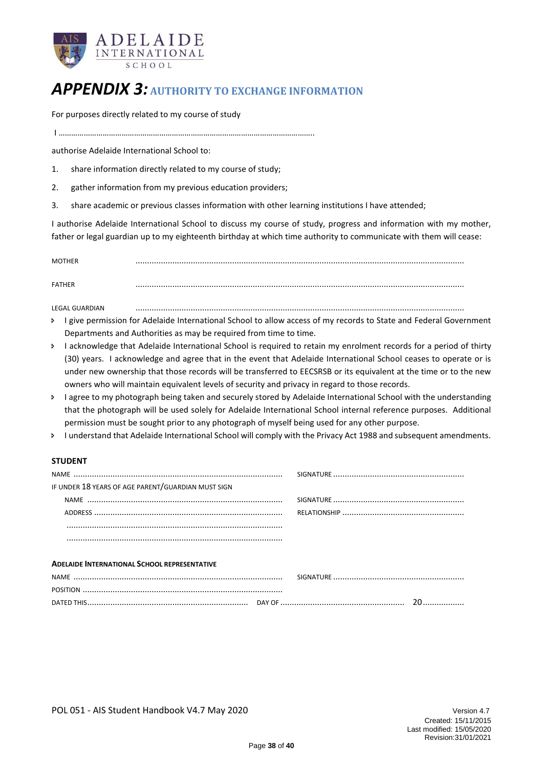

### <span id="page-37-0"></span>*APPENDIX 3:* **AUTHORITY TO EXCHANGE INFORMATION**

For purposes directly related to my course of study

I …………………………………………………………………………………………………………..

authorise Adelaide International School to:

- 1. share information directly related to my course of study;
- 2. gather information from my previous education providers;
- 3. share academic or previous classes information with other learning institutions I have attended;

I authorise Adelaide International School to discuss my course of study, progress and information with my mother, father or legal guardian up to my eighteenth birthday at which time authority to communicate with them will cease:

MOTHER ...............................................................................................................................................

FATHER ...............................................................................................................................................

LEGAL GUARDIAN ...............................................................................................................................................

- > I give permission for Adelaide International School to allow access of my records to State and Federal Government Departments and Authorities as may be required from time to time.
- I acknowledge that Adelaide International School is required to retain my enrolment records for a period of thirty (30) years. I acknowledge and agree that in the event that Adelaide International School ceases to operate or is under new ownership that those records will be transferred to EECSRSB or its equivalent at the time or to the new owners who will maintain equivalent levels of security and privacy in regard to those records.
- > I agree to my photograph being taken and securely stored by Adelaide International School with the understanding that the photograph will be used solely for Adelaide International School internal reference purposes. Additional permission must be sought prior to any photograph of myself being used for any other purpose.
- I understand that Adelaide International School will comply with the Privacy Act 1988 and subsequent amendments.

#### **STUDENT**

| IF UNDER 18 YEARS OF AGE PARENT/GUARDIAN MUST SIGN  |  |  |
|-----------------------------------------------------|--|--|
|                                                     |  |  |
|                                                     |  |  |
|                                                     |  |  |
|                                                     |  |  |
|                                                     |  |  |
| <b>ADELAIDE INTERNATIONAL SCHOOL REPRESENTATIVE</b> |  |  |
|                                                     |  |  |
|                                                     |  |  |
|                                                     |  |  |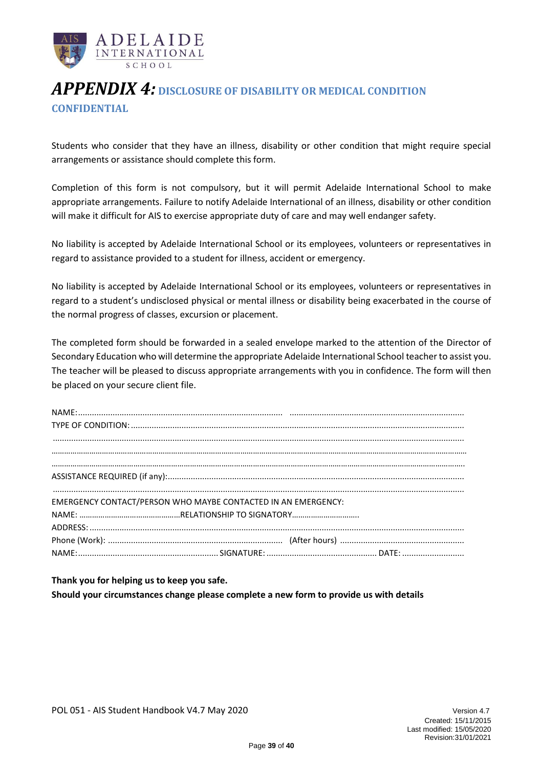

### <span id="page-38-0"></span>*APPENDIX 4:* **DISCLOSURE OF DISABILITY OR MEDICAL CONDITION CONFIDENTIAL**

Students who consider that they have an illness, disability or other condition that might require special arrangements or assistance should complete this form.

Completion of this form is not compulsory, but it will permit Adelaide International School to make appropriate arrangements. Failure to notify Adelaide International of an illness, disability or other condition will make it difficult for AIS to exercise appropriate duty of care and may well endanger safety.

No liability is accepted by Adelaide International School or its employees, volunteers or representatives in regard to assistance provided to a student for illness, accident or emergency.

No liability is accepted by Adelaide International School or its employees, volunteers or representatives in regard to a student's undisclosed physical or mental illness or disability being exacerbated in the course of the normal progress of classes, excursion or placement.

The completed form should be forwarded in a sealed envelope marked to the attention of the Director of Secondary Education who will determine the appropriate Adelaide International School teacher to assist you. The teacher will be pleased to discuss appropriate arrangements with you in confidence. The form will then be placed on your secure client file.

| EMERGENCY CONTACT/PERSON WHO MAYBE CONTACTED IN AN EMERGENCY: |  |  |
|---------------------------------------------------------------|--|--|
|                                                               |  |  |
|                                                               |  |  |
|                                                               |  |  |
|                                                               |  |  |

**Thank you for helping us to keep you safe. Should your circumstances change please complete a new form to provide us with details**